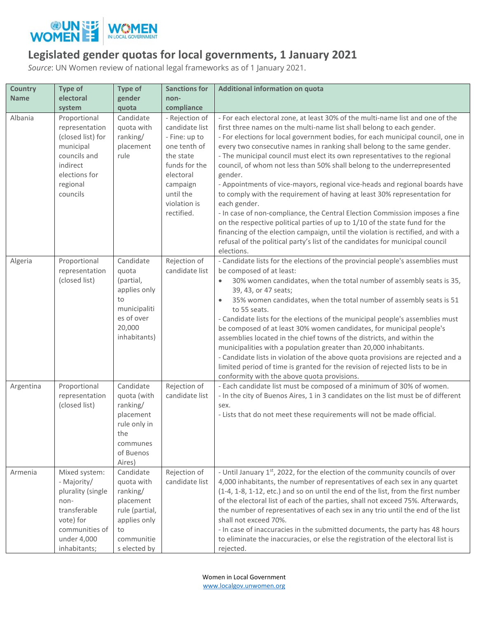

## **Legislated gender quotas for local governments, 1 January 2021**

*Source*: UN Women review of national legal frameworks as of 1 January 2021.

| <b>Country</b> | Type of                                                                                                                                 | <b>Type of</b>                                                                                                         | <b>Sanctions for</b>                                                                                                                                                | Additional information on quota                                                                                                                                                                                                                                                                                                                                                                                                                                                                                                                                                                                                                                                                                                                                                                                                                                                                                                                                                                                      |
|----------------|-----------------------------------------------------------------------------------------------------------------------------------------|------------------------------------------------------------------------------------------------------------------------|---------------------------------------------------------------------------------------------------------------------------------------------------------------------|----------------------------------------------------------------------------------------------------------------------------------------------------------------------------------------------------------------------------------------------------------------------------------------------------------------------------------------------------------------------------------------------------------------------------------------------------------------------------------------------------------------------------------------------------------------------------------------------------------------------------------------------------------------------------------------------------------------------------------------------------------------------------------------------------------------------------------------------------------------------------------------------------------------------------------------------------------------------------------------------------------------------|
| <b>Name</b>    | electoral                                                                                                                               | gender                                                                                                                 | non-                                                                                                                                                                |                                                                                                                                                                                                                                                                                                                                                                                                                                                                                                                                                                                                                                                                                                                                                                                                                                                                                                                                                                                                                      |
|                | system                                                                                                                                  | quota                                                                                                                  | compliance                                                                                                                                                          |                                                                                                                                                                                                                                                                                                                                                                                                                                                                                                                                                                                                                                                                                                                                                                                                                                                                                                                                                                                                                      |
| Albania        | Proportional<br>representation<br>(closed list) for<br>municipal<br>councils and<br>indirect<br>elections for<br>regional<br>councils   | Candidate<br>quota with<br>ranking/<br>placement<br>rule                                                               | - Rejection of<br>candidate list<br>- Fine: up to<br>one tenth of<br>the state<br>funds for the<br>electoral<br>campaign<br>until the<br>violation is<br>rectified. | - For each electoral zone, at least 30% of the multi-name list and one of the<br>first three names on the multi-name list shall belong to each gender.<br>- For elections for local government bodies, for each municipal council, one in<br>every two consecutive names in ranking shall belong to the same gender.<br>- The municipal council must elect its own representatives to the regional<br>council, of whom not less than 50% shall belong to the underrepresented<br>gender.<br>- Appointments of vice-mayors, regional vice-heads and regional boards have<br>to comply with the requirement of having at least 30% representation for<br>each gender.<br>- In case of non-compliance, the Central Election Commission imposes a fine<br>on the respective political parties of up to 1/10 of the state fund for the<br>financing of the election campaign, until the violation is rectified, and with a<br>refusal of the political party's list of the candidates for municipal council<br>elections. |
| Algeria        | Proportional<br>representation<br>(closed list)                                                                                         | Candidate<br>quota<br>(partial,<br>applies only<br>to<br>municipaliti<br>es of over<br>20,000<br>inhabitants)          | Rejection of<br>candidate list                                                                                                                                      | - Candidate lists for the elections of the provincial people's assemblies must<br>be composed of at least:<br>30% women candidates, when the total number of assembly seats is 35,<br>$\bullet$<br>39, 43, or 47 seats;<br>35% women candidates, when the total number of assembly seats is 51<br>to 55 seats.<br>- Candidate lists for the elections of the municipal people's assemblies must<br>be composed of at least 30% women candidates, for municipal people's<br>assemblies located in the chief towns of the districts, and within the<br>municipalities with a population greater than 20,000 inhabitants.<br>- Candidate lists in violation of the above quota provisions are rejected and a<br>limited period of time is granted for the revision of rejected lists to be in<br>conformity with the above quota provisions.                                                                                                                                                                            |
| Argentina      | Proportional<br>representation<br>(closed list)                                                                                         | Candidate<br>quota (with<br>ranking/<br>placement<br>rule only in<br>the<br>communes<br>of Buenos<br>Aires)            | Rejection of<br>candidate list                                                                                                                                      | - Each candidate list must be composed of a minimum of 30% of women.<br>- In the city of Buenos Aires, 1 in 3 candidates on the list must be of different<br>sex.<br>- Lists that do not meet these requirements will not be made official.                                                                                                                                                                                                                                                                                                                                                                                                                                                                                                                                                                                                                                                                                                                                                                          |
| Armenia        | Mixed system:<br>- Majority/<br>plurality (single<br>non-<br>transferable<br>vote) for<br>communities of<br>under 4,000<br>inhabitants; | Candidate<br>quota with<br>ranking/<br>placement<br>rule (partial,<br>applies only<br>to<br>communitie<br>s elected by | Rejection of<br>candidate list                                                                                                                                      | - Until January 1st, 2022, for the election of the community councils of over<br>4,000 inhabitants, the number of representatives of each sex in any quartet<br>(1-4, 1-8, 1-12, etc.) and so on until the end of the list, from the first number<br>of the electoral list of each of the parties, shall not exceed 75%. Afterwards,<br>the number of representatives of each sex in any trio until the end of the list<br>shall not exceed 70%.<br>- In case of inaccuracies in the submitted documents, the party has 48 hours<br>to eliminate the inaccuracies, or else the registration of the electoral list is<br>rejected.                                                                                                                                                                                                                                                                                                                                                                                    |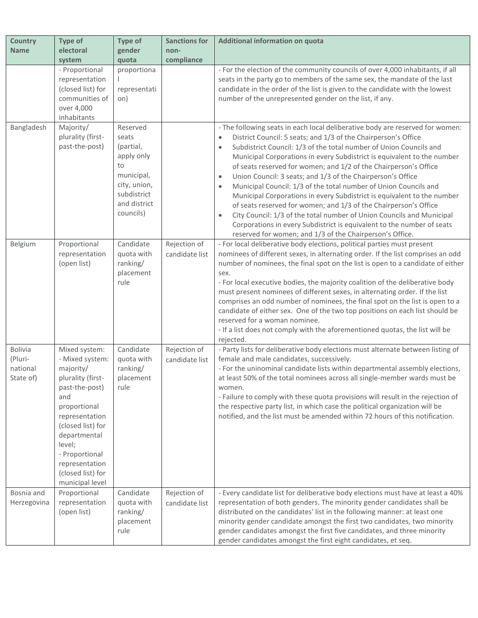| <b>Country</b>                                     | <b>Type of</b>                                                                                                                                                                                                                                           | Type of                                                                                                                      | <b>Sanctions for</b>           | Additional information on quota                                                                                                                                                                                                                                                                                                                                                                                                                                                                                                                                                                                                                                                                                                                                                                                                                                                                                                        |
|----------------------------------------------------|----------------------------------------------------------------------------------------------------------------------------------------------------------------------------------------------------------------------------------------------------------|------------------------------------------------------------------------------------------------------------------------------|--------------------------------|----------------------------------------------------------------------------------------------------------------------------------------------------------------------------------------------------------------------------------------------------------------------------------------------------------------------------------------------------------------------------------------------------------------------------------------------------------------------------------------------------------------------------------------------------------------------------------------------------------------------------------------------------------------------------------------------------------------------------------------------------------------------------------------------------------------------------------------------------------------------------------------------------------------------------------------|
| <b>Name</b>                                        | electoral                                                                                                                                                                                                                                                | gender                                                                                                                       | non-                           |                                                                                                                                                                                                                                                                                                                                                                                                                                                                                                                                                                                                                                                                                                                                                                                                                                                                                                                                        |
|                                                    | system<br>- Proportional<br>representation<br>(closed list) for<br>communities of<br>over 4,000<br>inhabitants                                                                                                                                           | quota<br>proportiona<br>representati<br>on)                                                                                  | compliance                     | - For the election of the community councils of over 4,000 inhabitants, if all<br>seats in the party go to members of the same sex, the mandate of the last<br>candidate in the order of the list is given to the candidate with the lowest<br>number of the unrepresented gender on the list, if any.                                                                                                                                                                                                                                                                                                                                                                                                                                                                                                                                                                                                                                 |
| Bangladesh                                         | Majority/<br>plurality (first-<br>past-the-post)                                                                                                                                                                                                         | Reserved<br>seats<br>(partial,<br>apply only<br>to<br>municipal,<br>city, union,<br>subdistrict<br>and district<br>councils) |                                | - The following seats in each local deliberative body are reserved for women:<br>District Council: 5 seats; and 1/3 of the Chairperson's Office<br>$\bullet$<br>Subdistrict Council: 1/3 of the total number of Union Councils and<br>$\bullet$<br>Municipal Corporations in every Subdistrict is equivalent to the number<br>of seats reserved for women; and 1/2 of the Chairperson's Office<br>Union Council: 3 seats; and 1/3 of the Chairperson's Office<br>$\bullet$<br>Municipal Council: 1/3 of the total number of Union Councils and<br>$\bullet$<br>Municipal Corporations in every Subdistrict is equivalent to the number<br>of seats reserved for women; and 1/3 of the Chairperson's Office<br>City Council: 1/3 of the total number of Union Councils and Municipal<br>$\bullet$<br>Corporations in every Subdistrict is equivalent to the number of seats<br>reserved for women; and 1/3 of the Chairperson's Office. |
| Belgium                                            | Proportional<br>representation<br>(open list)                                                                                                                                                                                                            | Candidate<br>quota with<br>ranking/<br>placement<br>rule                                                                     | Rejection of<br>candidate list | - For local deliberative body elections, political parties must present<br>nominees of different sexes, in alternating order. If the list comprises an odd<br>number of nominees, the final spot on the list is open to a candidate of either<br>sex.<br>- For local executive bodies, the majority coalition of the deliberative body<br>must present nominees of different sexes, in alternating order. If the list<br>comprises an odd number of nominees, the final spot on the list is open to a<br>candidate of either sex. One of the two top positions on each list should be<br>reserved for a woman nominee.<br>- If a list does not comply with the aforementioned quotas, the list will be<br>rejected.                                                                                                                                                                                                                    |
| <b>Bolivia</b><br>(Pluri-<br>national<br>State of) | Mixed system:<br>- Mixed system:<br>majority/<br>plurality (first-<br>past-the-post)<br>and<br>proportional<br>representation<br>(closed list) for<br>departmental<br>level;<br>- Proportional<br>representation<br>(closed list) for<br>municipal level | Candidate<br>quota with<br>ranking/<br>placement<br>rule                                                                     | Rejection of<br>candidate list | - Party lists for deliberative body elections must alternate between listing of<br>female and male candidates, successively.<br>- For the uninominal candidate lists within departmental assembly elections,<br>at least 50% of the total nominees across all single-member wards must be<br>women.<br>- Failure to comply with these quota provisions will result in the rejection of<br>the respective party list, in which case the political organization will be<br>notified, and the list must be amended within 72 hours of this notification.                                                                                                                                                                                                                                                                                                                                                                                  |
| Bosnia and<br>Herzegovina                          | Proportional<br>representation<br>(open list)                                                                                                                                                                                                            | Candidate<br>quota with<br>ranking/<br>placement<br>rule                                                                     | Rejection of<br>candidate list | - Every candidate list for deliberative body elections must have at least a 40%<br>representation of both genders. The minority gender candidates shall be<br>distributed on the candidates' list in the following manner: at least one<br>minority gender candidate amongst the first two candidates, two minority<br>gender candidates amongst the first five candidates, and three minority<br>gender candidates amongst the first eight candidates, et seq.                                                                                                                                                                                                                                                                                                                                                                                                                                                                        |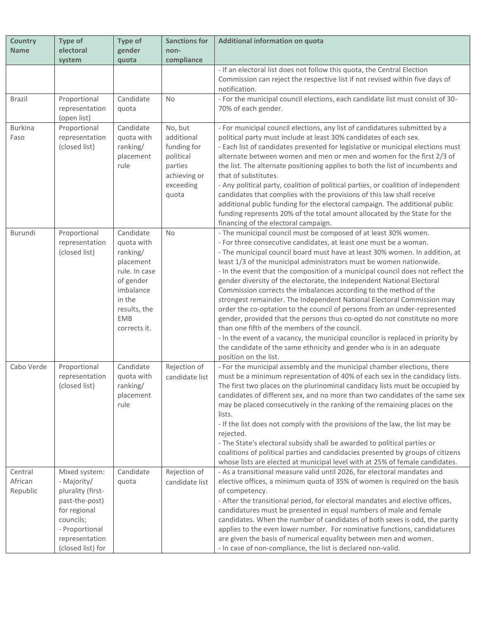| <b>Country</b> | Type of           | <b>Type of</b> | <b>Sanctions for</b> | Additional information on quota                                                    |
|----------------|-------------------|----------------|----------------------|------------------------------------------------------------------------------------|
| <b>Name</b>    | electoral         | gender         | non-                 |                                                                                    |
|                | system            | quota          | compliance           |                                                                                    |
|                |                   |                |                      | - If an electoral list does not follow this quota, the Central Election            |
|                |                   |                |                      | Commission can reject the respective list if not revised within five days of       |
|                |                   |                |                      | notification.                                                                      |
| <b>Brazil</b>  | Proportional      | Candidate      | No                   | - For the municipal council elections, each candidate list must consist of 30-     |
|                | representation    | quota          |                      | 70% of each gender.                                                                |
|                | (open list)       |                |                      |                                                                                    |
| <b>Burkina</b> | Proportional      | Candidate      | No, but              | - For municipal council elections, any list of candidatures submitted by a         |
| Faso           | representation    | quota with     | additional           | political party must include at least 30% candidates of each sex.                  |
|                | (closed list)     | ranking/       | funding for          | - Each list of candidates presented for legislative or municipal elections must    |
|                |                   | placement      | political            | alternate between women and men or men and women for the first 2/3 of              |
|                |                   | rule           | parties              | the list. The alternate positioning applies to both the list of incumbents and     |
|                |                   |                | achieving or         | that of substitutes.                                                               |
|                |                   |                | exceeding            | - Any political party, coalition of political parties, or coalition of independent |
|                |                   |                | quota                | candidates that complies with the provisions of this law shall receive             |
|                |                   |                |                      | additional public funding for the electoral campaign. The additional public        |
|                |                   |                |                      | funding represents 20% of the total amount allocated by the State for the          |
|                |                   |                |                      | financing of the electoral campaign.                                               |
| Burundi        | Proportional      | Candidate      | No.                  | - The municipal council must be composed of at least 30% women.                    |
|                | representation    | quota with     |                      | - For three consecutive candidates, at least one must be a woman.                  |
|                | (closed list)     | ranking/       |                      | - The municipal council board must have at least 30% women. In addition, at        |
|                |                   | placement      |                      | least 1/3 of the municipal administrators must be women nationwide.                |
|                |                   | rule. In case  |                      | - In the event that the composition of a municipal council does not reflect the    |
|                |                   | of gender      |                      | gender diversity of the electorate, the Independent National Electoral             |
|                |                   | imbalance      |                      | Commission corrects the imbalances according to the method of the                  |
|                |                   | in the         |                      | strongest remainder. The Independent National Electoral Commission may             |
|                |                   | results, the   |                      | order the co-optation to the council of persons from an under-represented          |
|                |                   | <b>EMB</b>     |                      | gender, provided that the persons thus co-opted do not constitute no more          |
|                |                   | corrects it.   |                      | than one fifth of the members of the council.                                      |
|                |                   |                |                      | - In the event of a vacancy, the municipal councilor is replaced in priority by    |
|                |                   |                |                      | the candidate of the same ethnicity and gender who is in an adequate               |
|                |                   |                |                      | position on the list.                                                              |
| Cabo Verde     | Proportional      | Candidate      | Rejection of         | - For the municipal assembly and the municipal chamber elections, there            |
|                | representation    | quota with     | candidate list       | must be a minimum representation of 40% of each sex in the candidacy lists.        |
|                | (closed list)     | ranking/       |                      | The first two places on the plurinominal candidacy lists must be occupied by       |
|                |                   | placement      |                      | candidates of different sex, and no more than two candidates of the same sex       |
|                |                   | rule           |                      | may be placed consecutively in the ranking of the remaining places on the          |
|                |                   |                |                      | lists.                                                                             |
|                |                   |                |                      | - If the list does not comply with the provisions of the law, the list may be      |
|                |                   |                |                      | rejected.                                                                          |
|                |                   |                |                      | - The State's electoral subsidy shall be awarded to political parties or           |
|                |                   |                |                      | coalitions of political parties and candidacies presented by groups of citizens    |
|                |                   |                |                      | whose lists are elected at municipal level with at 25% of female candidates.       |
| Central        | Mixed system:     | Candidate      | Rejection of         | - As a transitional measure valid until 2026, for electoral mandates and           |
| African        | - Majority/       | quota          | candidate list       | elective offices, a minimum quota of 35% of women is required on the basis         |
| Republic       | plurality (first- |                |                      | of competency.                                                                     |
|                | past-the-post)    |                |                      | - After the transitional period, for electoral mandates and elective offices,      |
|                | for regional      |                |                      | candidatures must be presented in equal numbers of male and female                 |
|                | councils;         |                |                      | candidates. When the number of candidates of both sexes is odd, the parity         |
|                | - Proportional    |                |                      | applies to the even lower number. For nominative functions, candidatures           |
|                | representation    |                |                      | are given the basis of numerical equality between men and women.                   |
|                | (closed list) for |                |                      | - In case of non-compliance, the list is declared non-valid.                       |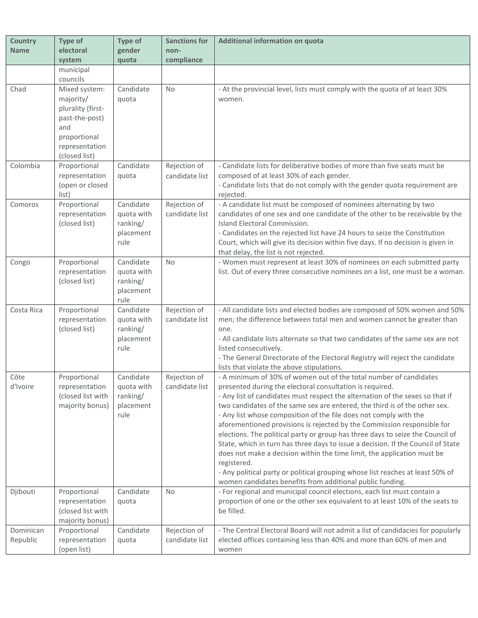| <b>Country</b>        | Type of                                                                                                                     | <b>Type of</b>                                           | <b>Sanctions for</b>           | Additional information on quota                                                                                                                                                                                                                                                                                                                                                                                                                                                                                                                                                                                                                                                                                                                                                                                                                             |
|-----------------------|-----------------------------------------------------------------------------------------------------------------------------|----------------------------------------------------------|--------------------------------|-------------------------------------------------------------------------------------------------------------------------------------------------------------------------------------------------------------------------------------------------------------------------------------------------------------------------------------------------------------------------------------------------------------------------------------------------------------------------------------------------------------------------------------------------------------------------------------------------------------------------------------------------------------------------------------------------------------------------------------------------------------------------------------------------------------------------------------------------------------|
| <b>Name</b>           | electoral                                                                                                                   | gender                                                   | non-                           |                                                                                                                                                                                                                                                                                                                                                                                                                                                                                                                                                                                                                                                                                                                                                                                                                                                             |
|                       | system                                                                                                                      | quota                                                    | compliance                     |                                                                                                                                                                                                                                                                                                                                                                                                                                                                                                                                                                                                                                                                                                                                                                                                                                                             |
|                       | municipal<br>councils                                                                                                       |                                                          |                                |                                                                                                                                                                                                                                                                                                                                                                                                                                                                                                                                                                                                                                                                                                                                                                                                                                                             |
| Chad                  | Mixed system:<br>majority/<br>plurality (first-<br>past-the-post)<br>and<br>proportional<br>representation<br>(closed list) | Candidate<br>quota                                       | No                             | - At the provincial level, lists must comply with the quota of at least 30%<br>women.                                                                                                                                                                                                                                                                                                                                                                                                                                                                                                                                                                                                                                                                                                                                                                       |
| Colombia              | Proportional<br>representation<br>(open or closed<br>list)                                                                  | Candidate<br>quota                                       | Rejection of<br>candidate list | - Candidate lists for deliberative bodies of more than five seats must be<br>composed of at least 30% of each gender.<br>- Candidate lists that do not comply with the gender quota requirement are<br>rejected.                                                                                                                                                                                                                                                                                                                                                                                                                                                                                                                                                                                                                                            |
| Comoros               | Proportional<br>representation<br>(closed list)                                                                             | Candidate<br>quota with<br>ranking/<br>placement<br>rule | Rejection of<br>candidate list | - A candidate list must be composed of nominees alternating by two<br>candidates of one sex and one candidate of the other to be receivable by the<br>Island Electoral Commission.<br>- Candidates on the rejected list have 24 hours to seize the Constitution<br>Court, which will give its decision within five days. If no decision is given in<br>that delay, the list is not rejected.                                                                                                                                                                                                                                                                                                                                                                                                                                                                |
| Congo                 | Proportional<br>representation<br>(closed list)                                                                             | Candidate<br>quota with<br>ranking/<br>placement<br>rule | <b>No</b>                      | - Women must represent at least 30% of nominees on each submitted party<br>list. Out of every three consecutive nominees on a list, one must be a woman.                                                                                                                                                                                                                                                                                                                                                                                                                                                                                                                                                                                                                                                                                                    |
| Costa Rica            | Proportional<br>representation<br>(closed list)                                                                             | Candidate<br>quota with<br>ranking/<br>placement<br>rule | Rejection of<br>candidate list | - All candidate lists and elected bodies are composed of 50% women and 50%<br>men; the difference between total men and women cannot be greater than<br>one.<br>- All candidate lists alternate so that two candidates of the same sex are not<br>listed consecutively.<br>- The General Directorate of the Electoral Registry will reject the candidate<br>lists that violate the above stipulations.                                                                                                                                                                                                                                                                                                                                                                                                                                                      |
| Côte<br>d'Ivoire      | Proportional<br>representation<br>(closed list with<br>majority bonus)                                                      | Candidate<br>quota with<br>ranking/<br>placement<br>rule | Rejection of<br>candidate list | - A minimum of 30% of women out of the total number of candidates<br>presented during the electoral consultation is required.<br>- Any list of candidates must respect the alternation of the sexes so that if<br>two candidates of the same sex are entered, the third is of the other sex.<br>- Any list whose composition of the file does not comply with the<br>aforementioned provisions is rejected by the Commission responsible for<br>elections. The political party or group has three days to seize the Council of<br>State, which in turn has three days to issue a decision. If the Council of State<br>does not make a decision within the time limit, the application must be<br>registered.<br>- Any political party or political grouping whose list reaches at least 50% of<br>women candidates benefits from additional public funding. |
| Djibouti              | Proportional<br>representation<br>(closed list with<br>majority bonus)                                                      | Candidate<br>quota                                       | <b>No</b>                      | - For regional and municipal council elections, each list must contain a<br>proportion of one or the other sex equivalent to at least 10% of the seats to<br>be filled.                                                                                                                                                                                                                                                                                                                                                                                                                                                                                                                                                                                                                                                                                     |
| Dominican<br>Republic | Proportional<br>representation<br>(open list)                                                                               | Candidate<br>quota                                       | Rejection of<br>candidate list | - The Central Electoral Board will not admit a list of candidacies for popularly<br>elected offices containing less than 40% and more than 60% of men and<br>women                                                                                                                                                                                                                                                                                                                                                                                                                                                                                                                                                                                                                                                                                          |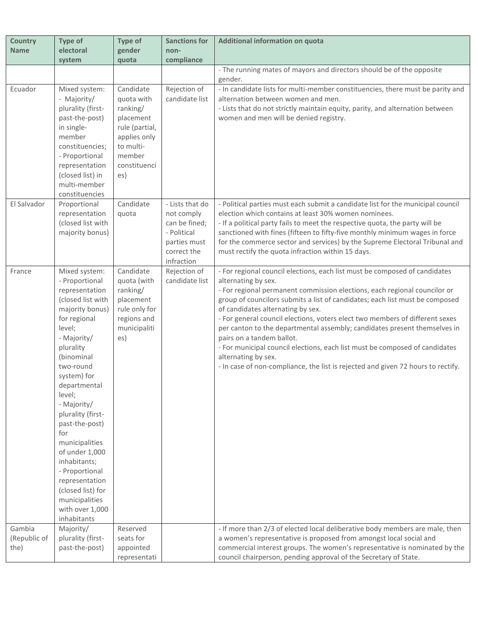| <b>Country</b><br><b>Name</b>  | <b>Type of</b><br>electoral                                                                                                                                                                                                                                                                                                                                                                                                                       | <b>Type of</b><br>gender                                                                                                         | <b>Sanctions for</b><br>non-                                                                               | Additional information on quota                                                                                                                                                                                                                                                                                                                                                                                                                                                                                                                                                                                                                                                         |
|--------------------------------|---------------------------------------------------------------------------------------------------------------------------------------------------------------------------------------------------------------------------------------------------------------------------------------------------------------------------------------------------------------------------------------------------------------------------------------------------|----------------------------------------------------------------------------------------------------------------------------------|------------------------------------------------------------------------------------------------------------|-----------------------------------------------------------------------------------------------------------------------------------------------------------------------------------------------------------------------------------------------------------------------------------------------------------------------------------------------------------------------------------------------------------------------------------------------------------------------------------------------------------------------------------------------------------------------------------------------------------------------------------------------------------------------------------------|
|                                | system                                                                                                                                                                                                                                                                                                                                                                                                                                            | quota                                                                                                                            | compliance                                                                                                 |                                                                                                                                                                                                                                                                                                                                                                                                                                                                                                                                                                                                                                                                                         |
|                                |                                                                                                                                                                                                                                                                                                                                                                                                                                                   |                                                                                                                                  |                                                                                                            | - The running mates of mayors and directors should be of the opposite<br>gender.                                                                                                                                                                                                                                                                                                                                                                                                                                                                                                                                                                                                        |
| Ecuador                        | Mixed system:<br>- Majority/<br>plurality (first-<br>past-the-post)<br>in single-<br>member<br>constituencies;<br>- Proportional<br>representation<br>(closed list) in<br>multi-member<br>constituencies                                                                                                                                                                                                                                          | Candidate<br>quota with<br>ranking/<br>placement<br>rule (partial,<br>applies only<br>to multi-<br>member<br>constituenci<br>es) | Rejection of<br>candidate list                                                                             | - In candidate lists for multi-member constituencies, there must be parity and<br>alternation between women and men.<br>- Lists that do not strictly maintain equity, parity, and alternation between<br>women and men will be denied registry.                                                                                                                                                                                                                                                                                                                                                                                                                                         |
| El Salvador                    | Proportional<br>representation<br>(closed list with<br>majority bonus)                                                                                                                                                                                                                                                                                                                                                                            | Candidate<br>quota                                                                                                               | - Lists that do<br>not comply<br>can be fined;<br>- Political<br>parties must<br>correct the<br>infraction | - Political parties must each submit a candidate list for the municipal council<br>election which contains at least 30% women nominees.<br>- If a political party fails to meet the respective quota, the party will be<br>sanctioned with fines (fifteen to fifty-five monthly minimum wages in force<br>for the commerce sector and services) by the Supreme Electoral Tribunal and<br>must rectify the quota infraction within 15 days.                                                                                                                                                                                                                                              |
| France                         | Mixed system:<br>- Proportional<br>representation<br>(closed list with<br>majority bonus)<br>for regional<br>level;<br>- Majority/<br>plurality<br>(binominal<br>two-round<br>system) for<br>departmental<br>level;<br>- Majority/<br>plurality (first-<br>past-the-post)<br>for<br>municipalities<br>of under 1,000<br>inhabitants;<br>- Proportional<br>representation<br>(closed list) for<br>municipalities<br>with over 1,000<br>inhabitants | Candidate<br>quota (with<br>ranking/<br>placement<br>rule only for<br>regions and<br>municipaliti<br>es)                         | Rejection of<br>candidate list                                                                             | - For regional council elections, each list must be composed of candidates<br>alternating by sex.<br>- For regional permanent commission elections, each regional councilor or<br>group of councilors submits a list of candidates; each list must be composed<br>of candidates alternating by sex.<br>- For general council elections, voters elect two members of different sexes<br>per canton to the departmental assembly; candidates present themselves in<br>pairs on a tandem ballot.<br>- For municipal council elections, each list must be composed of candidates<br>alternating by sex.<br>- In case of non-compliance, the list is rejected and given 72 hours to rectify. |
| Gambia<br>(Republic of<br>the) | Majority/<br>plurality (first-<br>past-the-post)                                                                                                                                                                                                                                                                                                                                                                                                  | Reserved<br>seats for<br>appointed<br>representati                                                                               |                                                                                                            | - If more than 2/3 of elected local deliberative body members are male, then<br>a women's representative is proposed from amongst local social and<br>commercial interest groups. The women's representative is nominated by the<br>council chairperson, pending approval of the Secretary of State.                                                                                                                                                                                                                                                                                                                                                                                    |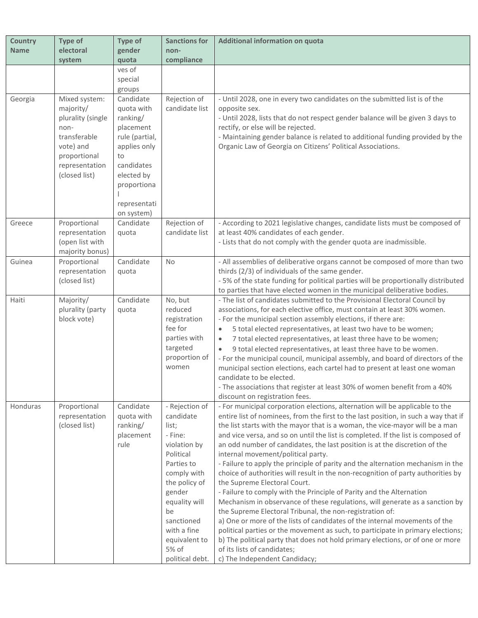| <b>Country</b> | Type of                        | <b>Type of</b> | <b>Sanctions for</b>           | <b>Additional information on quota</b>                                                                                                                              |
|----------------|--------------------------------|----------------|--------------------------------|---------------------------------------------------------------------------------------------------------------------------------------------------------------------|
| <b>Name</b>    | electoral                      | gender         | non-                           |                                                                                                                                                                     |
|                | system                         | quota          | compliance                     |                                                                                                                                                                     |
|                |                                | ves of         |                                |                                                                                                                                                                     |
|                |                                | special        |                                |                                                                                                                                                                     |
|                |                                | groups         |                                |                                                                                                                                                                     |
| Georgia        | Mixed system:                  | Candidate      | Rejection of                   | - Until 2028, one in every two candidates on the submitted list is of the                                                                                           |
|                | majority/                      | quota with     | candidate list                 | opposite sex.                                                                                                                                                       |
|                | plurality (single              | ranking/       |                                | - Until 2028, lists that do not respect gender balance will be given 3 days to                                                                                      |
|                | non-                           | placement      |                                | rectify, or else will be rejected.                                                                                                                                  |
|                | transferable                   | rule (partial, |                                | - Maintaining gender balance is related to additional funding provided by the                                                                                       |
|                | vote) and                      | applies only   |                                | Organic Law of Georgia on Citizens' Political Associations.                                                                                                         |
|                | proportional                   | to             |                                |                                                                                                                                                                     |
|                | representation                 | candidates     |                                |                                                                                                                                                                     |
|                | (closed list)                  | elected by     |                                |                                                                                                                                                                     |
|                |                                | proportiona    |                                |                                                                                                                                                                     |
|                |                                |                |                                |                                                                                                                                                                     |
|                |                                | representati   |                                |                                                                                                                                                                     |
|                |                                | on system)     |                                |                                                                                                                                                                     |
| Greece         | Proportional<br>representation | Candidate      | Rejection of<br>candidate list | - According to 2021 legislative changes, candidate lists must be composed of<br>at least 40% candidates of each gender.                                             |
|                | (open list with                | quota          |                                | - Lists that do not comply with the gender quota are inadmissible.                                                                                                  |
|                | majority bonus)                |                |                                |                                                                                                                                                                     |
| Guinea         | Proportional                   | Candidate      | No                             | - All assemblies of deliberative organs cannot be composed of more than two                                                                                         |
|                | representation                 | quota          |                                | thirds (2/3) of individuals of the same gender.                                                                                                                     |
|                | (closed list)                  |                |                                | - 5% of the state funding for political parties will be proportionally distributed                                                                                  |
|                |                                |                |                                | to parties that have elected women in the municipal deliberative bodies.                                                                                            |
| Haiti          | Majority/                      | Candidate      | No, but                        | - The list of candidates submitted to the Provisional Electoral Council by                                                                                          |
|                | plurality (party               | quota          | reduced                        | associations, for each elective office, must contain at least 30% women.                                                                                            |
|                | block vote)                    |                | registration                   | - For the municipal section assembly elections, if there are:                                                                                                       |
|                |                                |                | fee for                        | 5 total elected representatives, at least two have to be women;<br>$\bullet$                                                                                        |
|                |                                |                | parties with                   | 7 total elected representatives, at least three have to be women;<br>$\bullet$                                                                                      |
|                |                                |                | targeted                       | 9 total elected representatives, at least three have to be women.                                                                                                   |
|                |                                |                | proportion of                  | - For the municipal council, municipal assembly, and board of directors of the                                                                                      |
|                |                                |                | women                          | municipal section elections, each cartel had to present at least one woman                                                                                          |
|                |                                |                |                                | candidate to be elected.                                                                                                                                            |
|                |                                |                |                                | - The associations that register at least 30% of women benefit from a 40%                                                                                           |
|                |                                |                |                                | discount on registration fees.                                                                                                                                      |
| Honduras       | Proportional                   | Candidate      | - Rejection of                 | - For municipal corporation elections, alternation will be applicable to the                                                                                        |
|                | representation                 | quota with     | candidate                      | entire list of nominees, from the first to the last position, in such a way that if                                                                                 |
|                | (closed list)                  | ranking/       | list;                          | the list starts with the mayor that is a woman, the vice-mayor will be a man                                                                                        |
|                |                                | placement      | - Fine:                        | and vice versa, and so on until the list is completed. If the list is composed of                                                                                   |
|                |                                | rule           | violation by                   | an odd number of candidates, the last position is at the discretion of the                                                                                          |
|                |                                |                | Political                      | internal movement/political party.                                                                                                                                  |
|                |                                |                | Parties to<br>comply with      | - Failure to apply the principle of parity and the alternation mechanism in the<br>choice of authorities will result in the non-recognition of party authorities by |
|                |                                |                | the policy of                  | the Supreme Electoral Court.                                                                                                                                        |
|                |                                |                | gender                         | - Failure to comply with the Principle of Parity and the Alternation                                                                                                |
|                |                                |                | equality will                  | Mechanism in observance of these regulations, will generate as a sanction by                                                                                        |
|                |                                |                | be                             | the Supreme Electoral Tribunal, the non-registration of:                                                                                                            |
|                |                                |                | sanctioned                     | a) One or more of the lists of candidates of the internal movements of the                                                                                          |
|                |                                |                | with a fine                    | political parties or the movement as such, to participate in primary elections;                                                                                     |
|                |                                |                | equivalent to                  | b) The political party that does not hold primary elections, or of one or more                                                                                      |
|                |                                |                | 5% of                          | of its lists of candidates;                                                                                                                                         |
|                |                                |                | political debt.                | c) The Independent Candidacy;                                                                                                                                       |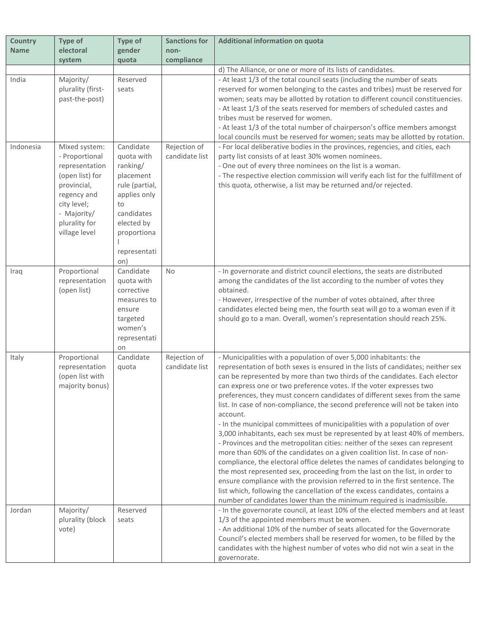| <b>Country</b> | Type of                      | <b>Type of</b>           | <b>Sanctions for</b> | Additional information on quota                                                                                                                          |
|----------------|------------------------------|--------------------------|----------------------|----------------------------------------------------------------------------------------------------------------------------------------------------------|
| <b>Name</b>    | electoral                    | gender                   | non-                 |                                                                                                                                                          |
|                | system                       | quota                    | compliance           |                                                                                                                                                          |
|                |                              |                          |                      | d) The Alliance, or one or more of its lists of candidates.                                                                                              |
| India          | Majority/                    | Reserved                 |                      | - At least 1/3 of the total council seats (including the number of seats                                                                                 |
|                | plurality (first-            | seats                    |                      | reserved for women belonging to the castes and tribes) must be reserved for                                                                              |
|                | past-the-post)               |                          |                      | women; seats may be allotted by rotation to different council constituencies.                                                                            |
|                |                              |                          |                      | - At least 1/3 of the seats reserved for members of scheduled castes and                                                                                 |
|                |                              |                          |                      | tribes must be reserved for women.                                                                                                                       |
|                |                              |                          |                      | - At least 1/3 of the total number of chairperson's office members amongst                                                                               |
|                |                              |                          |                      | local councils must be reserved for women; seats may be allotted by rotation.                                                                            |
| Indonesia      | Mixed system:                | Candidate                | Rejection of         | - For local deliberative bodies in the provinces, regencies, and cities, each                                                                            |
|                | - Proportional               | quota with               | candidate list       | party list consists of at least 30% women nominees.                                                                                                      |
|                | representation               | ranking/                 |                      | - One out of every three nominees on the list is a woman.                                                                                                |
|                | (open list) for              | placement                |                      | - The respective election commission will verify each list for the fulfillment of                                                                        |
|                | provincial,                  | rule (partial,           |                      | this quota, otherwise, a list may be returned and/or rejected.                                                                                           |
|                | regency and                  | applies only             |                      |                                                                                                                                                          |
|                | city level;                  | to                       |                      |                                                                                                                                                          |
|                | - Majority/<br>plurality for | candidates<br>elected by |                      |                                                                                                                                                          |
|                | village level                |                          |                      |                                                                                                                                                          |
|                |                              | proportiona              |                      |                                                                                                                                                          |
|                |                              | representati             |                      |                                                                                                                                                          |
|                |                              | on)                      |                      |                                                                                                                                                          |
| Iraq           | Proportional                 | Candidate                | No                   | - In governorate and district council elections, the seats are distributed                                                                               |
|                | representation               | quota with               |                      | among the candidates of the list according to the number of votes they                                                                                   |
|                | (open list)                  | corrective               |                      | obtained.                                                                                                                                                |
|                |                              | measures to              |                      | - However, irrespective of the number of votes obtained, after three                                                                                     |
|                |                              | ensure                   |                      | candidates elected being men, the fourth seat will go to a woman even if it                                                                              |
|                |                              | targeted                 |                      | should go to a man. Overall, women's representation should reach 25%.                                                                                    |
|                |                              | women's                  |                      |                                                                                                                                                          |
|                |                              | representati             |                      |                                                                                                                                                          |
|                |                              | on                       |                      |                                                                                                                                                          |
| Italy          | Proportional                 | Candidate                | Rejection of         | - Municipalities with a population of over 5,000 inhabitants: the                                                                                        |
|                | representation               | quota                    | candidate list       | representation of both sexes is ensured in the lists of candidates; neither sex                                                                          |
|                | (open list with              |                          |                      | can be represented by more than two thirds of the candidates. Each elector                                                                               |
|                | majority bonus)              |                          |                      | can express one or two preference votes. If the voter expresses two                                                                                      |
|                |                              |                          |                      | preferences, they must concern candidates of different sexes from the same                                                                               |
|                |                              |                          |                      | list. In case of non-compliance, the second preference will not be taken into                                                                            |
|                |                              |                          |                      | account.                                                                                                                                                 |
|                |                              |                          |                      | - In the municipal committees of municipalities with a population of over<br>3,000 inhabitants, each sex must be represented by at least 40% of members. |
|                |                              |                          |                      | - Provinces and the metropolitan cities: neither of the sexes can represent                                                                              |
|                |                              |                          |                      | more than 60% of the candidates on a given coalition list. In case of non-                                                                               |
|                |                              |                          |                      | compliance, the electoral office deletes the names of candidates belonging to                                                                            |
|                |                              |                          |                      | the most represented sex, proceeding from the last on the list, in order to                                                                              |
|                |                              |                          |                      | ensure compliance with the provision referred to in the first sentence. The                                                                              |
|                |                              |                          |                      | list which, following the cancellation of the excess candidates, contains a                                                                              |
|                |                              |                          |                      | number of candidates lower than the minimum required is inadmissible.                                                                                    |
| Jordan         | Majority/                    | Reserved                 |                      | - In the governorate council, at least 10% of the elected members and at least                                                                           |
|                | plurality (block             | seats                    |                      | 1/3 of the appointed members must be women.                                                                                                              |
|                | vote)                        |                          |                      | - An additional 10% of the number of seats allocated for the Governorate                                                                                 |
|                |                              |                          |                      | Council's elected members shall be reserved for women, to be filled by the                                                                               |
|                |                              |                          |                      | candidates with the highest number of votes who did not win a seat in the                                                                                |
|                |                              |                          |                      | governorate.                                                                                                                                             |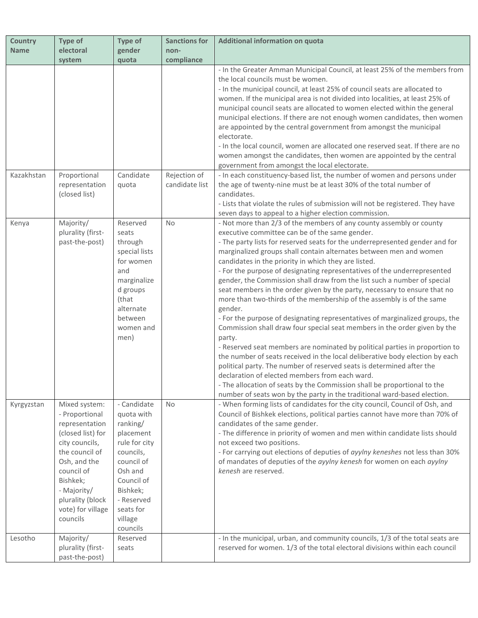| <b>Country</b> | Type of           | <b>Type of</b>       | <b>Sanctions for</b> | Additional information on quota                                                                                                                           |
|----------------|-------------------|----------------------|----------------------|-----------------------------------------------------------------------------------------------------------------------------------------------------------|
| <b>Name</b>    | electoral         | gender               | non-                 |                                                                                                                                                           |
|                | system            | quota                | compliance           |                                                                                                                                                           |
|                |                   |                      |                      | - In the Greater Amman Municipal Council, at least 25% of the members from                                                                                |
|                |                   |                      |                      | the local councils must be women.                                                                                                                         |
|                |                   |                      |                      | - In the municipal council, at least 25% of council seats are allocated to                                                                                |
|                |                   |                      |                      | women. If the municipal area is not divided into localities, at least 25% of                                                                              |
|                |                   |                      |                      | municipal council seats are allocated to women elected within the general                                                                                 |
|                |                   |                      |                      | municipal elections. If there are not enough women candidates, then women                                                                                 |
|                |                   |                      |                      | are appointed by the central government from amongst the municipal<br>electorate.                                                                         |
|                |                   |                      |                      | - In the local council, women are allocated one reserved seat. If there are no                                                                            |
|                |                   |                      |                      | women amongst the candidates, then women are appointed by the central                                                                                     |
|                |                   |                      |                      | government from amongst the local electorate.                                                                                                             |
| Kazakhstan     | Proportional      | Candidate            | Rejection of         | - In each constituency-based list, the number of women and persons under                                                                                  |
|                | representation    | quota                | candidate list       | the age of twenty-nine must be at least 30% of the total number of                                                                                        |
|                | (closed list)     |                      |                      | candidates.                                                                                                                                               |
|                |                   |                      |                      | - Lists that violate the rules of submission will not be registered. They have                                                                            |
|                |                   |                      |                      | seven days to appeal to a higher election commission.                                                                                                     |
| Kenya          | Majority/         | Reserved             | No                   | - Not more than 2/3 of the members of any county assembly or county                                                                                       |
|                | plurality (first- | seats                |                      | executive committee can be of the same gender.                                                                                                            |
|                | past-the-post)    | through              |                      | - The party lists for reserved seats for the underrepresented gender and for                                                                              |
|                |                   | special lists        |                      | marginalized groups shall contain alternates between men and women                                                                                        |
|                |                   | for women            |                      | candidates in the priority in which they are listed.                                                                                                      |
|                |                   | and                  |                      | - For the purpose of designating representatives of the underrepresented                                                                                  |
|                |                   | marginalize          |                      | gender, the Commission shall draw from the list such a number of special                                                                                  |
|                |                   | d groups             |                      | seat members in the order given by the party, necessary to ensure that no                                                                                 |
|                |                   | (that<br>alternate   |                      | more than two-thirds of the membership of the assembly is of the same<br>gender.                                                                          |
|                |                   | between              |                      |                                                                                                                                                           |
|                |                   | women and            |                      | - For the purpose of designating representatives of marginalized groups, the<br>Commission shall draw four special seat members in the order given by the |
|                |                   | men)                 |                      | party.                                                                                                                                                    |
|                |                   |                      |                      | - Reserved seat members are nominated by political parties in proportion to                                                                               |
|                |                   |                      |                      | the number of seats received in the local deliberative body election by each                                                                              |
|                |                   |                      |                      | political party. The number of reserved seats is determined after the                                                                                     |
|                |                   |                      |                      | declaration of elected members from each ward.                                                                                                            |
|                |                   |                      |                      | - The allocation of seats by the Commission shall be proportional to the                                                                                  |
|                |                   |                      |                      | number of seats won by the party in the traditional ward-based election.                                                                                  |
| Kyrgyzstan     | Mixed system:     | - Candidate          | <b>No</b>            | - When forming lists of candidates for the city council, Council of Osh, and                                                                              |
|                | - Proportional    | quota with           |                      | Council of Bishkek elections, political parties cannot have more than 70% of                                                                              |
|                | representation    | ranking/             |                      | candidates of the same gender.                                                                                                                            |
|                | (closed list) for | placement            |                      | - The difference in priority of women and men within candidate lists should                                                                               |
|                | city councils,    | rule for city        |                      | not exceed two positions.                                                                                                                                 |
|                | the council of    | councils,            |                      | - For carrying out elections of deputies of ayylny keneshes not less than 30%                                                                             |
|                | Osh, and the      | council of           |                      | of mandates of deputies of the ayylny kenesh for women on each ayylny                                                                                     |
|                | council of        | Osh and              |                      | kenesh are reserved.                                                                                                                                      |
|                | Bishkek;          | Council of           |                      |                                                                                                                                                           |
|                | - Majority/       | Bishkek;             |                      |                                                                                                                                                           |
|                | plurality (block  | - Reserved           |                      |                                                                                                                                                           |
|                | vote) for village | seats for            |                      |                                                                                                                                                           |
|                | councils          | village              |                      |                                                                                                                                                           |
| Lesotho        | Majority/         | councils<br>Reserved |                      | - In the municipal, urban, and community councils, 1/3 of the total seats are                                                                             |
|                | plurality (first- | seats                |                      | reserved for women. 1/3 of the total electoral divisions within each council                                                                              |
|                | past-the-post)    |                      |                      |                                                                                                                                                           |
|                |                   |                      |                      |                                                                                                                                                           |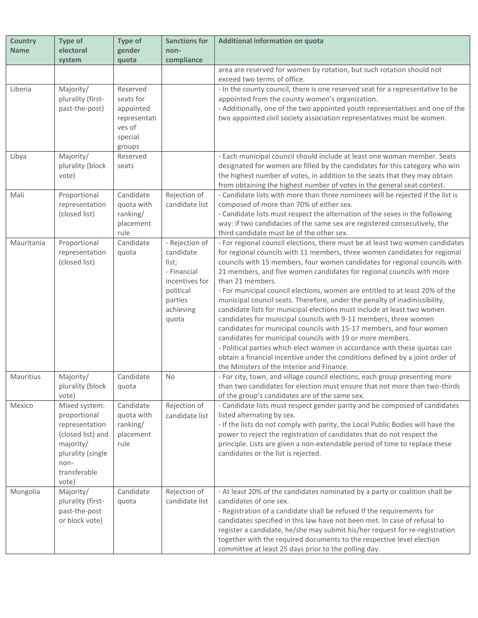| <b>Country</b> | <b>Type of</b>                | <b>Type of</b>        | <b>Sanctions for</b> | Additional information on quota                                                                                                                           |
|----------------|-------------------------------|-----------------------|----------------------|-----------------------------------------------------------------------------------------------------------------------------------------------------------|
| <b>Name</b>    | electoral                     | gender                | non-                 |                                                                                                                                                           |
|                | system                        | quota                 | compliance           |                                                                                                                                                           |
|                |                               |                       |                      | area are reserved for women by rotation, but such rotation should not<br>exceed two terms of office.                                                      |
| Liberia        | Majority/                     | Reserved              |                      | - In the county council, there is one reserved seat for a representative to be                                                                            |
|                | plurality (first-             | seats for             |                      | appointed from the county women's organization.                                                                                                           |
|                | past-the-post)                | appointed             |                      | - Additionally, one of the two appointed youth representatives and one of the                                                                             |
|                |                               | representati          |                      | two appointed civil society association representatives must be women.                                                                                    |
|                |                               | ves of                |                      |                                                                                                                                                           |
|                |                               | special               |                      |                                                                                                                                                           |
|                |                               | groups                |                      |                                                                                                                                                           |
| Libya          | Majority/                     | Reserved              |                      | - Each municipal council should include at least one woman member. Seats                                                                                  |
|                | plurality (block              | seats                 |                      | designated for women are filled by the candidates for this category who win                                                                               |
|                | vote)                         |                       |                      | the highest number of votes, in addition to the seats that they may obtain                                                                                |
|                |                               |                       |                      | from obtaining the highest number of votes in the general seat contest.                                                                                   |
| Mali           | Proportional                  | Candidate             | Rejection of         | - Candidate lists with more than three nominees will be rejected if the list is                                                                           |
|                | representation                | quota with            | candidate list       | composed of more than 70% of either sex.                                                                                                                  |
|                | (closed list)                 | ranking/<br>placement |                      | - Candidate lists must respect the alternation of the sexes in the following<br>way: if two candidacies of the same sex are registered consecutively, the |
|                |                               | rule                  |                      | third candidate must be of the other sex.                                                                                                                 |
| Mauritania     | Proportional                  | Candidate             | - Rejection of       | - For regional council elections, there must be at least two women candidates                                                                             |
|                | representation                | quota                 | candidate            | for regional councils with 11 members, three women candidates for regional                                                                                |
|                | (closed list)                 |                       | list;                | councils with 15 members, four women candidates for regional councils with                                                                                |
|                |                               |                       | - Financial          | 21 members, and five women candidates for regional councils with more                                                                                     |
|                |                               |                       | incentives for       | than 21 members.                                                                                                                                          |
|                |                               |                       | political            | - For municipal council elections, women are entitled to at least 20% of the                                                                              |
|                |                               |                       | parties              | municipal council seats. Therefore, under the penalty of inadmissibility,                                                                                 |
|                |                               |                       | achieving            | candidate lists for municipal elections must include at least two women                                                                                   |
|                |                               |                       | quota                | candidates for municipal councils with 9-11 members, three women                                                                                          |
|                |                               |                       |                      | candidates for municipal councils with 15-17 members, and four women                                                                                      |
|                |                               |                       |                      | candidates for municipal councils with 19 or more members.                                                                                                |
|                |                               |                       |                      | - Political parties which elect women in accordance with these quotas can                                                                                 |
|                |                               |                       |                      | obtain a financial incentive under the conditions defined by a joint order of                                                                             |
|                |                               |                       |                      | the Ministers of the Interior and Finance.                                                                                                                |
| Mauritius      | Majority/<br>plurality (block | Candidate             | No                   | - For city, town, and village council elections, each group presenting more<br>than two candidates for election must ensure that not more than two-thirds |
|                | vote)                         | quota                 |                      | of the group's candidates are of the same sex.                                                                                                            |
| Mexico         | Mixed system:                 | Candidate             | Rejection of         | - Candidate lists must respect gender parity and be composed of candidates                                                                                |
|                | proportional                  | quota with            | candidate list       | listed alternating by sex.                                                                                                                                |
|                | representation                | ranking/              |                      | - If the lists do not comply with parity, the Local Public Bodies will have the                                                                           |
|                | (closed list) and             | placement             |                      | power to reject the registration of candidates that do not respect the                                                                                    |
|                | majority/                     | rule                  |                      | principle. Lists are given a non-extendable period of time to replace these                                                                               |
|                | plurality (single             |                       |                      | candidates or the list is rejected.                                                                                                                       |
|                | non-                          |                       |                      |                                                                                                                                                           |
|                | transferable                  |                       |                      |                                                                                                                                                           |
|                | vote)                         |                       |                      |                                                                                                                                                           |
| Mongolia       | Majority/                     | Candidate             | Rejection of         | - At least 20% of the candidates nominated by a party or coalition shall be                                                                               |
|                | plurality (first-             | quota                 | candidate list       | candidates of one sex.                                                                                                                                    |
|                | past-the-post                 |                       |                      | - Registration of a candidate shall be refused If the requirements for                                                                                    |
|                | or block vote)                |                       |                      | candidates specified in this law have not been met. In case of refusal to<br>register a candidate, he/she may submit his/her request for re-registration  |
|                |                               |                       |                      | together with the required documents to the respective level election                                                                                     |
|                |                               |                       |                      | committee at least 25 days prior to the polling day.                                                                                                      |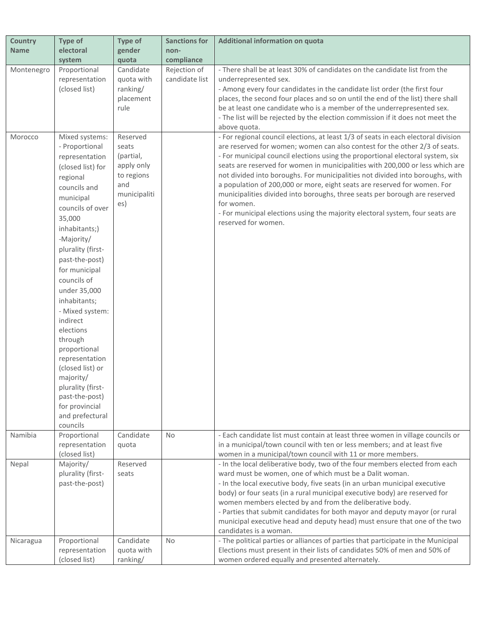| <b>Country</b>        | Type of                                                                                                                                                                                                                                                                                                                                                                                                                                                            | Type of                                                                       | <b>Sanctions for</b>           | Additional information on quota                                                                                                                                                                                                                                                                                                                                                                                                                                                                                                                                                                                     |
|-----------------------|--------------------------------------------------------------------------------------------------------------------------------------------------------------------------------------------------------------------------------------------------------------------------------------------------------------------------------------------------------------------------------------------------------------------------------------------------------------------|-------------------------------------------------------------------------------|--------------------------------|---------------------------------------------------------------------------------------------------------------------------------------------------------------------------------------------------------------------------------------------------------------------------------------------------------------------------------------------------------------------------------------------------------------------------------------------------------------------------------------------------------------------------------------------------------------------------------------------------------------------|
| <b>Name</b>           | electoral                                                                                                                                                                                                                                                                                                                                                                                                                                                          | gender                                                                        | non-                           |                                                                                                                                                                                                                                                                                                                                                                                                                                                                                                                                                                                                                     |
|                       | system                                                                                                                                                                                                                                                                                                                                                                                                                                                             | quota                                                                         | compliance                     |                                                                                                                                                                                                                                                                                                                                                                                                                                                                                                                                                                                                                     |
| Montenegro<br>Morocco | Proportional<br>representation<br>(closed list)<br>Mixed systems:<br>- Proportional                                                                                                                                                                                                                                                                                                                                                                                | Candidate<br>quota with<br>ranking/<br>placement<br>rule<br>Reserved<br>seats | Rejection of<br>candidate list | - There shall be at least 30% of candidates on the candidate list from the<br>underrepresented sex.<br>- Among every four candidates in the candidate list order (the first four<br>places, the second four places and so on until the end of the list) there shall<br>be at least one candidate who is a member of the underrepresented sex.<br>- The list will be rejected by the election commission if it does not meet the<br>above quota.<br>- For regional council elections, at least 1/3 of seats in each electoral division<br>are reserved for women; women can also contest for the other 2/3 of seats. |
|                       | representation<br>(closed list) for<br>regional<br>councils and<br>municipal<br>councils of over<br>35,000<br>inhabitants;)<br>-Majority/<br>plurality (first-<br>past-the-post)<br>for municipal<br>councils of<br>under 35,000<br>inhabitants;<br>- Mixed system:<br>indirect<br>elections<br>through<br>proportional<br>representation<br>(closed list) or<br>majority/<br>plurality (first-<br>past-the-post)<br>for provincial<br>and prefectural<br>councils | (partial,<br>apply only<br>to regions<br>and<br>municipaliti<br>es)           |                                | - For municipal council elections using the proportional electoral system, six<br>seats are reserved for women in municipalities with 200,000 or less which are<br>not divided into boroughs. For municipalities not divided into boroughs, with<br>a population of 200,000 or more, eight seats are reserved for women. For<br>municipalities divided into boroughs, three seats per borough are reserved<br>for women.<br>- For municipal elections using the majority electoral system, four seats are<br>reserved for women.                                                                                    |
| Namibia               | Proportional<br>representation<br>(closed list)                                                                                                                                                                                                                                                                                                                                                                                                                    | Candidate<br>quota                                                            | <b>No</b>                      | - Each candidate list must contain at least three women in village councils or<br>in a municipal/town council with ten or less members; and at least five<br>women in a municipal/town council with 11 or more members.                                                                                                                                                                                                                                                                                                                                                                                             |
| Nepal                 | Majority/<br>plurality (first-<br>past-the-post)                                                                                                                                                                                                                                                                                                                                                                                                                   | Reserved<br>seats                                                             |                                | - In the local deliberative body, two of the four members elected from each<br>ward must be women, one of which must be a Dalit woman.<br>- In the local executive body, five seats (in an urban municipal executive<br>body) or four seats (in a rural municipal executive body) are reserved for<br>women members elected by and from the deliberative body.<br>- Parties that submit candidates for both mayor and deputy mayor (or rural<br>municipal executive head and deputy head) must ensure that one of the two<br>candidates is a woman.                                                                 |
| Nicaragua             | Proportional<br>representation<br>(closed list)                                                                                                                                                                                                                                                                                                                                                                                                                    | Candidate<br>quota with<br>ranking/                                           | No                             | - The political parties or alliances of parties that participate in the Municipal<br>Elections must present in their lists of candidates 50% of men and 50% of<br>women ordered equally and presented alternately.                                                                                                                                                                                                                                                                                                                                                                                                  |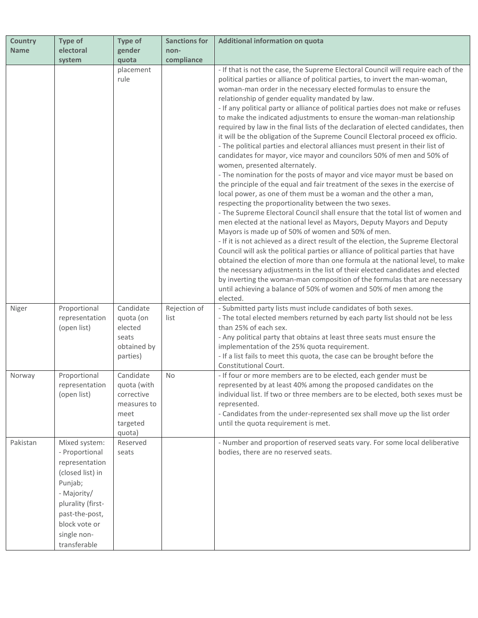| <b>Country</b> | Type of                                                                                                                                                                                | Type of                                                                | <b>Sanctions for</b> | Additional information on quota                                                                                                                                                                                                                                                                                                                                                                                                                                                                                                                                                                                                                                                                                                                                                                                                                                                                                                                                                                                                                                                                                                                                                                                                                                                                                                                                                                                                                                                                                                                                                                                                                                                                                                                             |
|----------------|----------------------------------------------------------------------------------------------------------------------------------------------------------------------------------------|------------------------------------------------------------------------|----------------------|-------------------------------------------------------------------------------------------------------------------------------------------------------------------------------------------------------------------------------------------------------------------------------------------------------------------------------------------------------------------------------------------------------------------------------------------------------------------------------------------------------------------------------------------------------------------------------------------------------------------------------------------------------------------------------------------------------------------------------------------------------------------------------------------------------------------------------------------------------------------------------------------------------------------------------------------------------------------------------------------------------------------------------------------------------------------------------------------------------------------------------------------------------------------------------------------------------------------------------------------------------------------------------------------------------------------------------------------------------------------------------------------------------------------------------------------------------------------------------------------------------------------------------------------------------------------------------------------------------------------------------------------------------------------------------------------------------------------------------------------------------------|
| <b>Name</b>    | electoral                                                                                                                                                                              | gender                                                                 | non-                 |                                                                                                                                                                                                                                                                                                                                                                                                                                                                                                                                                                                                                                                                                                                                                                                                                                                                                                                                                                                                                                                                                                                                                                                                                                                                                                                                                                                                                                                                                                                                                                                                                                                                                                                                                             |
|                | system                                                                                                                                                                                 | quota                                                                  | compliance           |                                                                                                                                                                                                                                                                                                                                                                                                                                                                                                                                                                                                                                                                                                                                                                                                                                                                                                                                                                                                                                                                                                                                                                                                                                                                                                                                                                                                                                                                                                                                                                                                                                                                                                                                                             |
|                |                                                                                                                                                                                        | placement<br>rule                                                      |                      | - If that is not the case, the Supreme Electoral Council will require each of the<br>political parties or alliance of political parties, to invert the man-woman,<br>woman-man order in the necessary elected formulas to ensure the<br>relationship of gender equality mandated by law.<br>- If any political party or alliance of political parties does not make or refuses<br>to make the indicated adjustments to ensure the woman-man relationship<br>required by law in the final lists of the declaration of elected candidates, then<br>it will be the obligation of the Supreme Council Electoral proceed ex officio.<br>- The political parties and electoral alliances must present in their list of<br>candidates for mayor, vice mayor and councilors 50% of men and 50% of<br>women, presented alternately.<br>- The nomination for the posts of mayor and vice mayor must be based on<br>the principle of the equal and fair treatment of the sexes in the exercise of<br>local power, as one of them must be a woman and the other a man,<br>respecting the proportionality between the two sexes.<br>- The Supreme Electoral Council shall ensure that the total list of women and<br>men elected at the national level as Mayors, Deputy Mayors and Deputy<br>Mayors is made up of 50% of women and 50% of men.<br>- If it is not achieved as a direct result of the election, the Supreme Electoral<br>Council will ask the political parties or alliance of political parties that have<br>obtained the election of more than one formula at the national level, to make<br>the necessary adjustments in the list of their elected candidates and elected<br>by inverting the woman-man composition of the formulas that are necessary |
| Niger          | Proportional<br>representation<br>(open list)                                                                                                                                          | Candidate<br>quota (on<br>elected<br>seats<br>obtained by<br>parties)  | Rejection of<br>list | until achieving a balance of 50% of women and 50% of men among the<br>elected.<br>- Submitted party lists must include candidates of both sexes.<br>- The total elected members returned by each party list should not be less<br>than 25% of each sex.<br>- Any political party that obtains at least three seats must ensure the<br>implementation of the 25% quota requirement.<br>- If a list fails to meet this quota, the case can be brought before the<br>Constitutional Court.                                                                                                                                                                                                                                                                                                                                                                                                                                                                                                                                                                                                                                                                                                                                                                                                                                                                                                                                                                                                                                                                                                                                                                                                                                                                     |
| Norway         | Proportional                                                                                                                                                                           | Candidate                                                              | No.                  | - If four or more members are to be elected, each gender must be                                                                                                                                                                                                                                                                                                                                                                                                                                                                                                                                                                                                                                                                                                                                                                                                                                                                                                                                                                                                                                                                                                                                                                                                                                                                                                                                                                                                                                                                                                                                                                                                                                                                                            |
|                | representation<br>(open list)                                                                                                                                                          | quota (with<br>corrective<br>measures to<br>meet<br>targeted<br>quota) |                      | represented by at least 40% among the proposed candidates on the<br>individual list. If two or three members are to be elected, both sexes must be<br>represented.<br>- Candidates from the under-represented sex shall move up the list order<br>until the quota requirement is met.                                                                                                                                                                                                                                                                                                                                                                                                                                                                                                                                                                                                                                                                                                                                                                                                                                                                                                                                                                                                                                                                                                                                                                                                                                                                                                                                                                                                                                                                       |
| Pakistan       | Mixed system:<br>- Proportional<br>representation<br>(closed list) in<br>Punjab;<br>- Majority/<br>plurality (first-<br>past-the-post,<br>block vote or<br>single non-<br>transferable | Reserved<br>seats                                                      |                      | - Number and proportion of reserved seats vary. For some local deliberative<br>bodies, there are no reserved seats.                                                                                                                                                                                                                                                                                                                                                                                                                                                                                                                                                                                                                                                                                                                                                                                                                                                                                                                                                                                                                                                                                                                                                                                                                                                                                                                                                                                                                                                                                                                                                                                                                                         |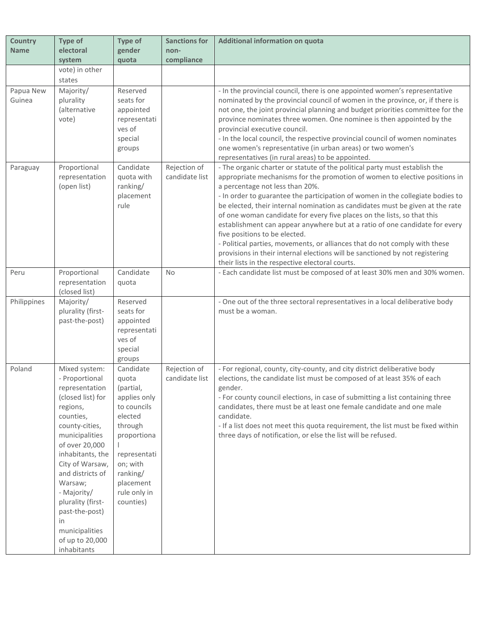| <b>Country</b><br><b>Name</b> | Type of<br>electoral                                                                                                                                                                                                                                                                                                                        | <b>Type of</b><br>gender                                                                                                                                                              | <b>Sanctions for</b><br>non-   | Additional information on quota                                                                                                                                                                                                                                                                                                                                                                                                                                                                                                                                                                                                                                                                                                                                            |
|-------------------------------|---------------------------------------------------------------------------------------------------------------------------------------------------------------------------------------------------------------------------------------------------------------------------------------------------------------------------------------------|---------------------------------------------------------------------------------------------------------------------------------------------------------------------------------------|--------------------------------|----------------------------------------------------------------------------------------------------------------------------------------------------------------------------------------------------------------------------------------------------------------------------------------------------------------------------------------------------------------------------------------------------------------------------------------------------------------------------------------------------------------------------------------------------------------------------------------------------------------------------------------------------------------------------------------------------------------------------------------------------------------------------|
|                               | system                                                                                                                                                                                                                                                                                                                                      | quota                                                                                                                                                                                 | compliance                     |                                                                                                                                                                                                                                                                                                                                                                                                                                                                                                                                                                                                                                                                                                                                                                            |
|                               | vote) in other<br>states                                                                                                                                                                                                                                                                                                                    |                                                                                                                                                                                       |                                |                                                                                                                                                                                                                                                                                                                                                                                                                                                                                                                                                                                                                                                                                                                                                                            |
| Papua New<br>Guinea           | Majority/<br>plurality<br>(alternative<br>vote)                                                                                                                                                                                                                                                                                             | Reserved<br>seats for<br>appointed<br>representati<br>ves of<br>special<br>groups                                                                                                     |                                | - In the provincial council, there is one appointed women's representative<br>nominated by the provincial council of women in the province, or, if there is<br>not one, the joint provincial planning and budget priorities committee for the<br>province nominates three women. One nominee is then appointed by the<br>provincial executive council.<br>- In the local council, the respective provincial council of women nominates<br>one women's representative (in urban areas) or two women's<br>representatives (in rural areas) to be appointed.                                                                                                                                                                                                                  |
| Paraguay                      | Proportional<br>representation<br>(open list)                                                                                                                                                                                                                                                                                               | Candidate<br>quota with<br>ranking/<br>placement<br>rule                                                                                                                              | Rejection of<br>candidate list | - The organic charter or statute of the political party must establish the<br>appropriate mechanisms for the promotion of women to elective positions in<br>a percentage not less than 20%.<br>- In order to guarantee the participation of women in the collegiate bodies to<br>be elected, their internal nomination as candidates must be given at the rate<br>of one woman candidate for every five places on the lists, so that this<br>establishment can appear anywhere but at a ratio of one candidate for every<br>five positions to be elected.<br>- Political parties, movements, or alliances that do not comply with these<br>provisions in their internal elections will be sanctioned by not registering<br>their lists in the respective electoral courts. |
| Peru                          | Proportional<br>representation<br>(closed list)                                                                                                                                                                                                                                                                                             | Candidate<br>quota                                                                                                                                                                    | <b>No</b>                      | - Each candidate list must be composed of at least 30% men and 30% women.                                                                                                                                                                                                                                                                                                                                                                                                                                                                                                                                                                                                                                                                                                  |
| Philippines                   | Majority/<br>plurality (first-<br>past-the-post)                                                                                                                                                                                                                                                                                            | Reserved<br>seats for<br>appointed<br>representati<br>ves of<br>special<br>groups                                                                                                     |                                | - One out of the three sectoral representatives in a local deliberative body<br>must be a woman.                                                                                                                                                                                                                                                                                                                                                                                                                                                                                                                                                                                                                                                                           |
| Poland                        | Mixed system:<br>- Proportional<br>representation<br>(closed list) for<br>regions,<br>counties,<br>county-cities,<br>municipalities<br>of over 20,000<br>inhabitants, the<br>City of Warsaw,<br>and districts of<br>Warsaw;<br>- Majority/<br>plurality (first-<br>past-the-post)<br>in<br>municipalities<br>of up to 20,000<br>inhabitants | Candidate<br>quota<br>(partial,<br>applies only<br>to councils<br>elected<br>through<br>proportiona<br>representati<br>on; with<br>ranking/<br>placement<br>rule only in<br>counties) | Rejection of<br>candidate list | - For regional, county, city-county, and city district deliberative body<br>elections, the candidate list must be composed of at least 35% of each<br>gender.<br>- For county council elections, in case of submitting a list containing three<br>candidates, there must be at least one female candidate and one male<br>candidate.<br>- If a list does not meet this quota requirement, the list must be fixed within<br>three days of notification, or else the list will be refused.                                                                                                                                                                                                                                                                                   |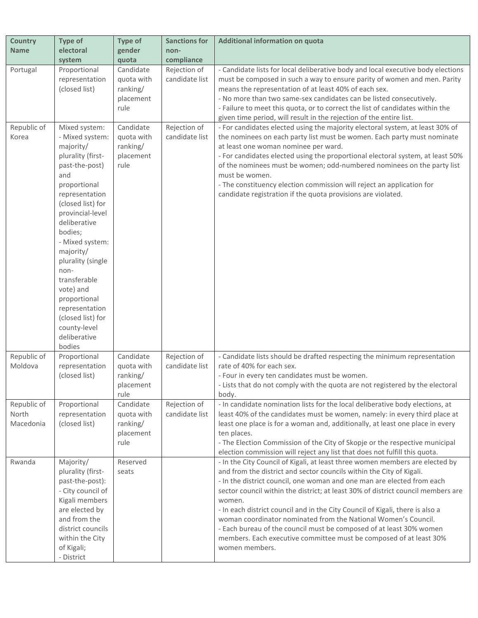| <b>Country</b>                    | Type of                                                                                                                                                                                                                                                                                                                                                                                      | Type of                                                  | <b>Sanctions for</b>           | Additional information on quota                                                                                                                                                                                                                                                                                                                                                                                                                                                                                                                                                                                                                |
|-----------------------------------|----------------------------------------------------------------------------------------------------------------------------------------------------------------------------------------------------------------------------------------------------------------------------------------------------------------------------------------------------------------------------------------------|----------------------------------------------------------|--------------------------------|------------------------------------------------------------------------------------------------------------------------------------------------------------------------------------------------------------------------------------------------------------------------------------------------------------------------------------------------------------------------------------------------------------------------------------------------------------------------------------------------------------------------------------------------------------------------------------------------------------------------------------------------|
| <b>Name</b>                       | electoral                                                                                                                                                                                                                                                                                                                                                                                    | gender                                                   | non-                           |                                                                                                                                                                                                                                                                                                                                                                                                                                                                                                                                                                                                                                                |
|                                   | system                                                                                                                                                                                                                                                                                                                                                                                       | quota                                                    | compliance                     |                                                                                                                                                                                                                                                                                                                                                                                                                                                                                                                                                                                                                                                |
| Portugal                          | Proportional<br>representation<br>(closed list)                                                                                                                                                                                                                                                                                                                                              | Candidate<br>quota with<br>ranking/<br>placement<br>rule | Rejection of<br>candidate list | - Candidate lists for local deliberative body and local executive body elections<br>must be composed in such a way to ensure parity of women and men. Parity<br>means the representation of at least 40% of each sex.<br>- No more than two same-sex candidates can be listed consecutively.<br>- Failure to meet this quota, or to correct the list of candidates within the<br>given time period, will result in the rejection of the entire list.                                                                                                                                                                                           |
| Republic of<br>Korea              | Mixed system:<br>- Mixed system:<br>majority/<br>plurality (first-<br>past-the-post)<br>and<br>proportional<br>representation<br>(closed list) for<br>provincial-level<br>deliberative<br>bodies;<br>- Mixed system:<br>majority/<br>plurality (single<br>non-<br>transferable<br>vote) and<br>proportional<br>representation<br>(closed list) for<br>county-level<br>deliberative<br>bodies | Candidate<br>quota with<br>ranking/<br>placement<br>rule | Rejection of<br>candidate list | - For candidates elected using the majority electoral system, at least 30% of<br>the nominees on each party list must be women. Each party must nominate<br>at least one woman nominee per ward.<br>- For candidates elected using the proportional electoral system, at least 50%<br>of the nominees must be women; odd-numbered nominees on the party list<br>must be women.<br>- The constituency election commission will reject an application for<br>candidate registration if the quota provisions are violated.                                                                                                                        |
| Republic of<br>Moldova            | Proportional<br>representation<br>(closed list)                                                                                                                                                                                                                                                                                                                                              | Candidate<br>quota with<br>ranking/<br>placement<br>rule | Rejection of<br>candidate list | - Candidate lists should be drafted respecting the minimum representation<br>rate of 40% for each sex.<br>- Four in every ten candidates must be women.<br>- Lists that do not comply with the quota are not registered by the electoral<br>body.                                                                                                                                                                                                                                                                                                                                                                                              |
| Republic of<br>North<br>Macedonia | Proportional<br>representation<br>(closed list)                                                                                                                                                                                                                                                                                                                                              | Candidate<br>quota with<br>ranking/<br>placement<br>rule | Rejection of<br>candidate list | - In candidate nomination lists for the local deliberative body elections, at<br>least 40% of the candidates must be women, namely: in every third place at<br>least one place is for a woman and, additionally, at least one place in every<br>ten places.<br>- The Election Commission of the City of Skopje or the respective municipal<br>election commission will reject any list that does not fulfill this quota.                                                                                                                                                                                                                       |
| Rwanda                            | Majority/<br>plurality (first-<br>past-the-post):<br>- City council of<br>Kigali members<br>are elected by<br>and from the<br>district councils<br>within the City<br>of Kigali;<br>- District                                                                                                                                                                                               | Reserved<br>seats                                        |                                | - In the City Council of Kigali, at least three women members are elected by<br>and from the district and sector councils within the City of Kigali.<br>- In the district council, one woman and one man are elected from each<br>sector council within the district; at least 30% of district council members are<br>women.<br>- In each district council and in the City Council of Kigali, there is also a<br>woman coordinator nominated from the National Women's Council.<br>- Each bureau of the council must be composed of at least 30% women<br>members. Each executive committee must be composed of at least 30%<br>women members. |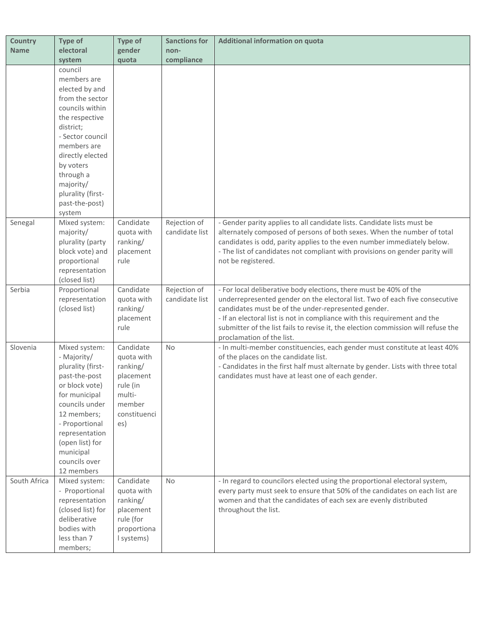| <b>Country</b> | Type of                                                                                                                                                                                                                                            | <b>Type of</b>                                                                                          | <b>Sanctions for</b>           | <b>Additional information on quota</b>                                                                                                                                                                                                                                                                                                                                    |
|----------------|----------------------------------------------------------------------------------------------------------------------------------------------------------------------------------------------------------------------------------------------------|---------------------------------------------------------------------------------------------------------|--------------------------------|---------------------------------------------------------------------------------------------------------------------------------------------------------------------------------------------------------------------------------------------------------------------------------------------------------------------------------------------------------------------------|
| <b>Name</b>    | electoral                                                                                                                                                                                                                                          | gender                                                                                                  | non-                           |                                                                                                                                                                                                                                                                                                                                                                           |
|                | system                                                                                                                                                                                                                                             | quota                                                                                                   | compliance                     |                                                                                                                                                                                                                                                                                                                                                                           |
|                | council<br>members are<br>elected by and<br>from the sector<br>councils within<br>the respective<br>district;<br>- Sector council<br>members are<br>directly elected<br>by voters<br>through a<br>majority/<br>plurality (first-<br>past-the-post) |                                                                                                         |                                |                                                                                                                                                                                                                                                                                                                                                                           |
|                | system                                                                                                                                                                                                                                             |                                                                                                         |                                |                                                                                                                                                                                                                                                                                                                                                                           |
| Senegal        | Mixed system:<br>majority/<br>plurality (party<br>block vote) and<br>proportional<br>representation<br>(closed list)                                                                                                                               | Candidate<br>quota with<br>ranking/<br>placement<br>rule                                                | Rejection of<br>candidate list | - Gender parity applies to all candidate lists. Candidate lists must be<br>alternately composed of persons of both sexes. When the number of total<br>candidates is odd, parity applies to the even number immediately below.<br>- The list of candidates not compliant with provisions on gender parity will<br>not be registered.                                       |
| Serbia         | Proportional<br>representation<br>(closed list)                                                                                                                                                                                                    | Candidate<br>quota with<br>ranking/<br>placement<br>rule                                                | Rejection of<br>candidate list | - For local deliberative body elections, there must be 40% of the<br>underrepresented gender on the electoral list. Two of each five consecutive<br>candidates must be of the under-represented gender.<br>- If an electoral list is not in compliance with this requirement and the<br>submitter of the list fails to revise it, the election commission will refuse the |
|                |                                                                                                                                                                                                                                                    |                                                                                                         |                                | proclamation of the list.                                                                                                                                                                                                                                                                                                                                                 |
| Slovenia       | Mixed system:<br>- Majority/<br>plurality (first-<br>past-the-post<br>or block vote)<br>for municipal<br>councils under<br>12 members;<br>- Proportional<br>representation<br>(open list) for<br>municipal<br>councils over<br>12 members          | Candidate<br>quota with<br>ranking/<br>placement<br>rule (in<br>multi-<br>member<br>constituenci<br>es) | No                             | - In multi-member constituencies, each gender must constitute at least 40%<br>of the places on the candidate list.<br>- Candidates in the first half must alternate by gender. Lists with three total<br>candidates must have at least one of each gender.                                                                                                                |
| South Africa   | Mixed system:<br>- Proportional<br>representation<br>(closed list) for<br>deliberative<br>bodies with<br>less than 7<br>members;                                                                                                                   | Candidate<br>quota with<br>ranking/<br>placement<br>rule (for<br>proportiona<br>I systems)              | No                             | - In regard to councilors elected using the proportional electoral system,<br>every party must seek to ensure that 50% of the candidates on each list are<br>women and that the candidates of each sex are evenly distributed<br>throughout the list.                                                                                                                     |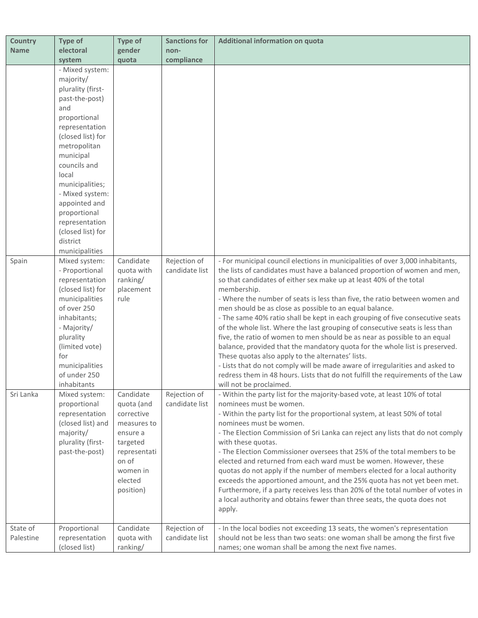| gender<br><b>Name</b><br>electoral<br>non-<br>quota<br>compliance<br>system<br>- Mixed system:<br>majority/<br>plurality (first-<br>past-the-post)<br>and<br>proportional<br>representation<br>(closed list) for<br>metropolitan<br>municipal<br>councils and<br>local<br>municipalities;<br>- Mixed system:<br>appointed and<br>proportional<br>representation<br>(closed list) for<br>district<br>municipalities<br>Candidate<br>Rejection of<br>- For municipal council elections in municipalities of over 3,000 inhabitants,<br>Spain<br>Mixed system:<br>the lists of candidates must have a balanced proportion of women and men,<br>- Proportional<br>quota with<br>candidate list<br>representation<br>ranking/<br>so that candidates of either sex make up at least 40% of the total<br>(closed list) for<br>placement<br>membership.<br>municipalities<br>rule<br>- Where the number of seats is less than five, the ratio between women and<br>of over 250<br>men should be as close as possible to an equal balance.<br>- The same 40% ratio shall be kept in each grouping of five consecutive seats<br>inhabitants;<br>of the whole list. Where the last grouping of consecutive seats is less than<br>- Majority/<br>five, the ratio of women to men should be as near as possible to an equal<br>plurality<br>(limited vote)<br>balance, provided that the mandatory quota for the whole list is preserved.<br>for<br>These quotas also apply to the alternates' lists.<br>- Lists that do not comply will be made aware of irregularities and asked to<br>municipalities<br>redress them in 48 hours. Lists that do not fulfill the requirements of the Law<br>of under 250<br>inhabitants<br>will not be proclaimed.<br>Sri Lanka<br>Candidate<br>Rejection of<br>- Within the party list for the majority-based vote, at least 10% of total<br>Mixed system:<br>candidate list<br>nominees must be women.<br>proportional<br>quota (and<br>- Within the party list for the proportional system, at least 50% of total<br>representation<br>corrective<br>(closed list) and<br>nominees must be women.<br>measures to<br>- The Election Commission of Sri Lanka can reject any lists that do not comply<br>majority/<br>ensure a<br>plurality (first-<br>targeted<br>with these quotas.<br>- The Election Commissioner oversees that 25% of the total members to be<br>past-the-post)<br>representati<br>on of<br>elected and returned from each ward must be women. However, these<br>quotas do not apply if the number of members elected for a local authority<br>women in<br>exceeds the apportioned amount, and the 25% quota has not yet been met.<br>elected<br>Furthermore, if a party receives less than 20% of the total number of votes in<br>position)<br>a local authority and obtains fewer than three seats, the quota does not<br>apply.<br>- In the local bodies not exceeding 13 seats, the women's representation<br>State of<br>Candidate<br>Rejection of<br>Proportional<br>candidate list<br>should not be less than two seats: one woman shall be among the first five<br>Palestine<br>representation<br>quota with<br>(closed list)<br>ranking/<br>names; one woman shall be among the next five names. | <b>Country</b> | Type of | <b>Type of</b> | <b>Sanctions for</b> | Additional information on quota |
|----------------------------------------------------------------------------------------------------------------------------------------------------------------------------------------------------------------------------------------------------------------------------------------------------------------------------------------------------------------------------------------------------------------------------------------------------------------------------------------------------------------------------------------------------------------------------------------------------------------------------------------------------------------------------------------------------------------------------------------------------------------------------------------------------------------------------------------------------------------------------------------------------------------------------------------------------------------------------------------------------------------------------------------------------------------------------------------------------------------------------------------------------------------------------------------------------------------------------------------------------------------------------------------------------------------------------------------------------------------------------------------------------------------------------------------------------------------------------------------------------------------------------------------------------------------------------------------------------------------------------------------------------------------------------------------------------------------------------------------------------------------------------------------------------------------------------------------------------------------------------------------------------------------------------------------------------------------------------------------------------------------------------------------------------------------------------------------------------------------------------------------------------------------------------------------------------------------------------------------------------------------------------------------------------------------------------------------------------------------------------------------------------------------------------------------------------------------------------------------------------------------------------------------------------------------------------------------------------------------------------------------------------------------------------------------------------------------------------------------------------------------------------------------------------------------------------------------------------------------------------------------------------------------------------------------------------------------------------------------------------------------------------------------------------------------------------------------------------------------------------------------------------------------------------------------------------------------------------------------------------|----------------|---------|----------------|----------------------|---------------------------------|
|                                                                                                                                                                                                                                                                                                                                                                                                                                                                                                                                                                                                                                                                                                                                                                                                                                                                                                                                                                                                                                                                                                                                                                                                                                                                                                                                                                                                                                                                                                                                                                                                                                                                                                                                                                                                                                                                                                                                                                                                                                                                                                                                                                                                                                                                                                                                                                                                                                                                                                                                                                                                                                                                                                                                                                                                                                                                                                                                                                                                                                                                                                                                                                                                                                                    |                |         |                |                      |                                 |
|                                                                                                                                                                                                                                                                                                                                                                                                                                                                                                                                                                                                                                                                                                                                                                                                                                                                                                                                                                                                                                                                                                                                                                                                                                                                                                                                                                                                                                                                                                                                                                                                                                                                                                                                                                                                                                                                                                                                                                                                                                                                                                                                                                                                                                                                                                                                                                                                                                                                                                                                                                                                                                                                                                                                                                                                                                                                                                                                                                                                                                                                                                                                                                                                                                                    |                |         |                |                      |                                 |
|                                                                                                                                                                                                                                                                                                                                                                                                                                                                                                                                                                                                                                                                                                                                                                                                                                                                                                                                                                                                                                                                                                                                                                                                                                                                                                                                                                                                                                                                                                                                                                                                                                                                                                                                                                                                                                                                                                                                                                                                                                                                                                                                                                                                                                                                                                                                                                                                                                                                                                                                                                                                                                                                                                                                                                                                                                                                                                                                                                                                                                                                                                                                                                                                                                                    |                |         |                |                      |                                 |
|                                                                                                                                                                                                                                                                                                                                                                                                                                                                                                                                                                                                                                                                                                                                                                                                                                                                                                                                                                                                                                                                                                                                                                                                                                                                                                                                                                                                                                                                                                                                                                                                                                                                                                                                                                                                                                                                                                                                                                                                                                                                                                                                                                                                                                                                                                                                                                                                                                                                                                                                                                                                                                                                                                                                                                                                                                                                                                                                                                                                                                                                                                                                                                                                                                                    |                |         |                |                      |                                 |
|                                                                                                                                                                                                                                                                                                                                                                                                                                                                                                                                                                                                                                                                                                                                                                                                                                                                                                                                                                                                                                                                                                                                                                                                                                                                                                                                                                                                                                                                                                                                                                                                                                                                                                                                                                                                                                                                                                                                                                                                                                                                                                                                                                                                                                                                                                                                                                                                                                                                                                                                                                                                                                                                                                                                                                                                                                                                                                                                                                                                                                                                                                                                                                                                                                                    |                |         |                |                      |                                 |
|                                                                                                                                                                                                                                                                                                                                                                                                                                                                                                                                                                                                                                                                                                                                                                                                                                                                                                                                                                                                                                                                                                                                                                                                                                                                                                                                                                                                                                                                                                                                                                                                                                                                                                                                                                                                                                                                                                                                                                                                                                                                                                                                                                                                                                                                                                                                                                                                                                                                                                                                                                                                                                                                                                                                                                                                                                                                                                                                                                                                                                                                                                                                                                                                                                                    |                |         |                |                      |                                 |
|                                                                                                                                                                                                                                                                                                                                                                                                                                                                                                                                                                                                                                                                                                                                                                                                                                                                                                                                                                                                                                                                                                                                                                                                                                                                                                                                                                                                                                                                                                                                                                                                                                                                                                                                                                                                                                                                                                                                                                                                                                                                                                                                                                                                                                                                                                                                                                                                                                                                                                                                                                                                                                                                                                                                                                                                                                                                                                                                                                                                                                                                                                                                                                                                                                                    |                |         |                |                      |                                 |
|                                                                                                                                                                                                                                                                                                                                                                                                                                                                                                                                                                                                                                                                                                                                                                                                                                                                                                                                                                                                                                                                                                                                                                                                                                                                                                                                                                                                                                                                                                                                                                                                                                                                                                                                                                                                                                                                                                                                                                                                                                                                                                                                                                                                                                                                                                                                                                                                                                                                                                                                                                                                                                                                                                                                                                                                                                                                                                                                                                                                                                                                                                                                                                                                                                                    |                |         |                |                      |                                 |
|                                                                                                                                                                                                                                                                                                                                                                                                                                                                                                                                                                                                                                                                                                                                                                                                                                                                                                                                                                                                                                                                                                                                                                                                                                                                                                                                                                                                                                                                                                                                                                                                                                                                                                                                                                                                                                                                                                                                                                                                                                                                                                                                                                                                                                                                                                                                                                                                                                                                                                                                                                                                                                                                                                                                                                                                                                                                                                                                                                                                                                                                                                                                                                                                                                                    |                |         |                |                      |                                 |
|                                                                                                                                                                                                                                                                                                                                                                                                                                                                                                                                                                                                                                                                                                                                                                                                                                                                                                                                                                                                                                                                                                                                                                                                                                                                                                                                                                                                                                                                                                                                                                                                                                                                                                                                                                                                                                                                                                                                                                                                                                                                                                                                                                                                                                                                                                                                                                                                                                                                                                                                                                                                                                                                                                                                                                                                                                                                                                                                                                                                                                                                                                                                                                                                                                                    |                |         |                |                      |                                 |
|                                                                                                                                                                                                                                                                                                                                                                                                                                                                                                                                                                                                                                                                                                                                                                                                                                                                                                                                                                                                                                                                                                                                                                                                                                                                                                                                                                                                                                                                                                                                                                                                                                                                                                                                                                                                                                                                                                                                                                                                                                                                                                                                                                                                                                                                                                                                                                                                                                                                                                                                                                                                                                                                                                                                                                                                                                                                                                                                                                                                                                                                                                                                                                                                                                                    |                |         |                |                      |                                 |
|                                                                                                                                                                                                                                                                                                                                                                                                                                                                                                                                                                                                                                                                                                                                                                                                                                                                                                                                                                                                                                                                                                                                                                                                                                                                                                                                                                                                                                                                                                                                                                                                                                                                                                                                                                                                                                                                                                                                                                                                                                                                                                                                                                                                                                                                                                                                                                                                                                                                                                                                                                                                                                                                                                                                                                                                                                                                                                                                                                                                                                                                                                                                                                                                                                                    |                |         |                |                      |                                 |
|                                                                                                                                                                                                                                                                                                                                                                                                                                                                                                                                                                                                                                                                                                                                                                                                                                                                                                                                                                                                                                                                                                                                                                                                                                                                                                                                                                                                                                                                                                                                                                                                                                                                                                                                                                                                                                                                                                                                                                                                                                                                                                                                                                                                                                                                                                                                                                                                                                                                                                                                                                                                                                                                                                                                                                                                                                                                                                                                                                                                                                                                                                                                                                                                                                                    |                |         |                |                      |                                 |
|                                                                                                                                                                                                                                                                                                                                                                                                                                                                                                                                                                                                                                                                                                                                                                                                                                                                                                                                                                                                                                                                                                                                                                                                                                                                                                                                                                                                                                                                                                                                                                                                                                                                                                                                                                                                                                                                                                                                                                                                                                                                                                                                                                                                                                                                                                                                                                                                                                                                                                                                                                                                                                                                                                                                                                                                                                                                                                                                                                                                                                                                                                                                                                                                                                                    |                |         |                |                      |                                 |
|                                                                                                                                                                                                                                                                                                                                                                                                                                                                                                                                                                                                                                                                                                                                                                                                                                                                                                                                                                                                                                                                                                                                                                                                                                                                                                                                                                                                                                                                                                                                                                                                                                                                                                                                                                                                                                                                                                                                                                                                                                                                                                                                                                                                                                                                                                                                                                                                                                                                                                                                                                                                                                                                                                                                                                                                                                                                                                                                                                                                                                                                                                                                                                                                                                                    |                |         |                |                      |                                 |
|                                                                                                                                                                                                                                                                                                                                                                                                                                                                                                                                                                                                                                                                                                                                                                                                                                                                                                                                                                                                                                                                                                                                                                                                                                                                                                                                                                                                                                                                                                                                                                                                                                                                                                                                                                                                                                                                                                                                                                                                                                                                                                                                                                                                                                                                                                                                                                                                                                                                                                                                                                                                                                                                                                                                                                                                                                                                                                                                                                                                                                                                                                                                                                                                                                                    |                |         |                |                      |                                 |
|                                                                                                                                                                                                                                                                                                                                                                                                                                                                                                                                                                                                                                                                                                                                                                                                                                                                                                                                                                                                                                                                                                                                                                                                                                                                                                                                                                                                                                                                                                                                                                                                                                                                                                                                                                                                                                                                                                                                                                                                                                                                                                                                                                                                                                                                                                                                                                                                                                                                                                                                                                                                                                                                                                                                                                                                                                                                                                                                                                                                                                                                                                                                                                                                                                                    |                |         |                |                      |                                 |
|                                                                                                                                                                                                                                                                                                                                                                                                                                                                                                                                                                                                                                                                                                                                                                                                                                                                                                                                                                                                                                                                                                                                                                                                                                                                                                                                                                                                                                                                                                                                                                                                                                                                                                                                                                                                                                                                                                                                                                                                                                                                                                                                                                                                                                                                                                                                                                                                                                                                                                                                                                                                                                                                                                                                                                                                                                                                                                                                                                                                                                                                                                                                                                                                                                                    |                |         |                |                      |                                 |
|                                                                                                                                                                                                                                                                                                                                                                                                                                                                                                                                                                                                                                                                                                                                                                                                                                                                                                                                                                                                                                                                                                                                                                                                                                                                                                                                                                                                                                                                                                                                                                                                                                                                                                                                                                                                                                                                                                                                                                                                                                                                                                                                                                                                                                                                                                                                                                                                                                                                                                                                                                                                                                                                                                                                                                                                                                                                                                                                                                                                                                                                                                                                                                                                                                                    |                |         |                |                      |                                 |
|                                                                                                                                                                                                                                                                                                                                                                                                                                                                                                                                                                                                                                                                                                                                                                                                                                                                                                                                                                                                                                                                                                                                                                                                                                                                                                                                                                                                                                                                                                                                                                                                                                                                                                                                                                                                                                                                                                                                                                                                                                                                                                                                                                                                                                                                                                                                                                                                                                                                                                                                                                                                                                                                                                                                                                                                                                                                                                                                                                                                                                                                                                                                                                                                                                                    |                |         |                |                      |                                 |
|                                                                                                                                                                                                                                                                                                                                                                                                                                                                                                                                                                                                                                                                                                                                                                                                                                                                                                                                                                                                                                                                                                                                                                                                                                                                                                                                                                                                                                                                                                                                                                                                                                                                                                                                                                                                                                                                                                                                                                                                                                                                                                                                                                                                                                                                                                                                                                                                                                                                                                                                                                                                                                                                                                                                                                                                                                                                                                                                                                                                                                                                                                                                                                                                                                                    |                |         |                |                      |                                 |
|                                                                                                                                                                                                                                                                                                                                                                                                                                                                                                                                                                                                                                                                                                                                                                                                                                                                                                                                                                                                                                                                                                                                                                                                                                                                                                                                                                                                                                                                                                                                                                                                                                                                                                                                                                                                                                                                                                                                                                                                                                                                                                                                                                                                                                                                                                                                                                                                                                                                                                                                                                                                                                                                                                                                                                                                                                                                                                                                                                                                                                                                                                                                                                                                                                                    |                |         |                |                      |                                 |
|                                                                                                                                                                                                                                                                                                                                                                                                                                                                                                                                                                                                                                                                                                                                                                                                                                                                                                                                                                                                                                                                                                                                                                                                                                                                                                                                                                                                                                                                                                                                                                                                                                                                                                                                                                                                                                                                                                                                                                                                                                                                                                                                                                                                                                                                                                                                                                                                                                                                                                                                                                                                                                                                                                                                                                                                                                                                                                                                                                                                                                                                                                                                                                                                                                                    |                |         |                |                      |                                 |
|                                                                                                                                                                                                                                                                                                                                                                                                                                                                                                                                                                                                                                                                                                                                                                                                                                                                                                                                                                                                                                                                                                                                                                                                                                                                                                                                                                                                                                                                                                                                                                                                                                                                                                                                                                                                                                                                                                                                                                                                                                                                                                                                                                                                                                                                                                                                                                                                                                                                                                                                                                                                                                                                                                                                                                                                                                                                                                                                                                                                                                                                                                                                                                                                                                                    |                |         |                |                      |                                 |
|                                                                                                                                                                                                                                                                                                                                                                                                                                                                                                                                                                                                                                                                                                                                                                                                                                                                                                                                                                                                                                                                                                                                                                                                                                                                                                                                                                                                                                                                                                                                                                                                                                                                                                                                                                                                                                                                                                                                                                                                                                                                                                                                                                                                                                                                                                                                                                                                                                                                                                                                                                                                                                                                                                                                                                                                                                                                                                                                                                                                                                                                                                                                                                                                                                                    |                |         |                |                      |                                 |
|                                                                                                                                                                                                                                                                                                                                                                                                                                                                                                                                                                                                                                                                                                                                                                                                                                                                                                                                                                                                                                                                                                                                                                                                                                                                                                                                                                                                                                                                                                                                                                                                                                                                                                                                                                                                                                                                                                                                                                                                                                                                                                                                                                                                                                                                                                                                                                                                                                                                                                                                                                                                                                                                                                                                                                                                                                                                                                                                                                                                                                                                                                                                                                                                                                                    |                |         |                |                      |                                 |
|                                                                                                                                                                                                                                                                                                                                                                                                                                                                                                                                                                                                                                                                                                                                                                                                                                                                                                                                                                                                                                                                                                                                                                                                                                                                                                                                                                                                                                                                                                                                                                                                                                                                                                                                                                                                                                                                                                                                                                                                                                                                                                                                                                                                                                                                                                                                                                                                                                                                                                                                                                                                                                                                                                                                                                                                                                                                                                                                                                                                                                                                                                                                                                                                                                                    |                |         |                |                      |                                 |
|                                                                                                                                                                                                                                                                                                                                                                                                                                                                                                                                                                                                                                                                                                                                                                                                                                                                                                                                                                                                                                                                                                                                                                                                                                                                                                                                                                                                                                                                                                                                                                                                                                                                                                                                                                                                                                                                                                                                                                                                                                                                                                                                                                                                                                                                                                                                                                                                                                                                                                                                                                                                                                                                                                                                                                                                                                                                                                                                                                                                                                                                                                                                                                                                                                                    |                |         |                |                      |                                 |
|                                                                                                                                                                                                                                                                                                                                                                                                                                                                                                                                                                                                                                                                                                                                                                                                                                                                                                                                                                                                                                                                                                                                                                                                                                                                                                                                                                                                                                                                                                                                                                                                                                                                                                                                                                                                                                                                                                                                                                                                                                                                                                                                                                                                                                                                                                                                                                                                                                                                                                                                                                                                                                                                                                                                                                                                                                                                                                                                                                                                                                                                                                                                                                                                                                                    |                |         |                |                      |                                 |
|                                                                                                                                                                                                                                                                                                                                                                                                                                                                                                                                                                                                                                                                                                                                                                                                                                                                                                                                                                                                                                                                                                                                                                                                                                                                                                                                                                                                                                                                                                                                                                                                                                                                                                                                                                                                                                                                                                                                                                                                                                                                                                                                                                                                                                                                                                                                                                                                                                                                                                                                                                                                                                                                                                                                                                                                                                                                                                                                                                                                                                                                                                                                                                                                                                                    |                |         |                |                      |                                 |
|                                                                                                                                                                                                                                                                                                                                                                                                                                                                                                                                                                                                                                                                                                                                                                                                                                                                                                                                                                                                                                                                                                                                                                                                                                                                                                                                                                                                                                                                                                                                                                                                                                                                                                                                                                                                                                                                                                                                                                                                                                                                                                                                                                                                                                                                                                                                                                                                                                                                                                                                                                                                                                                                                                                                                                                                                                                                                                                                                                                                                                                                                                                                                                                                                                                    |                |         |                |                      |                                 |
|                                                                                                                                                                                                                                                                                                                                                                                                                                                                                                                                                                                                                                                                                                                                                                                                                                                                                                                                                                                                                                                                                                                                                                                                                                                                                                                                                                                                                                                                                                                                                                                                                                                                                                                                                                                                                                                                                                                                                                                                                                                                                                                                                                                                                                                                                                                                                                                                                                                                                                                                                                                                                                                                                                                                                                                                                                                                                                                                                                                                                                                                                                                                                                                                                                                    |                |         |                |                      |                                 |
|                                                                                                                                                                                                                                                                                                                                                                                                                                                                                                                                                                                                                                                                                                                                                                                                                                                                                                                                                                                                                                                                                                                                                                                                                                                                                                                                                                                                                                                                                                                                                                                                                                                                                                                                                                                                                                                                                                                                                                                                                                                                                                                                                                                                                                                                                                                                                                                                                                                                                                                                                                                                                                                                                                                                                                                                                                                                                                                                                                                                                                                                                                                                                                                                                                                    |                |         |                |                      |                                 |
|                                                                                                                                                                                                                                                                                                                                                                                                                                                                                                                                                                                                                                                                                                                                                                                                                                                                                                                                                                                                                                                                                                                                                                                                                                                                                                                                                                                                                                                                                                                                                                                                                                                                                                                                                                                                                                                                                                                                                                                                                                                                                                                                                                                                                                                                                                                                                                                                                                                                                                                                                                                                                                                                                                                                                                                                                                                                                                                                                                                                                                                                                                                                                                                                                                                    |                |         |                |                      |                                 |
|                                                                                                                                                                                                                                                                                                                                                                                                                                                                                                                                                                                                                                                                                                                                                                                                                                                                                                                                                                                                                                                                                                                                                                                                                                                                                                                                                                                                                                                                                                                                                                                                                                                                                                                                                                                                                                                                                                                                                                                                                                                                                                                                                                                                                                                                                                                                                                                                                                                                                                                                                                                                                                                                                                                                                                                                                                                                                                                                                                                                                                                                                                                                                                                                                                                    |                |         |                |                      |                                 |
|                                                                                                                                                                                                                                                                                                                                                                                                                                                                                                                                                                                                                                                                                                                                                                                                                                                                                                                                                                                                                                                                                                                                                                                                                                                                                                                                                                                                                                                                                                                                                                                                                                                                                                                                                                                                                                                                                                                                                                                                                                                                                                                                                                                                                                                                                                                                                                                                                                                                                                                                                                                                                                                                                                                                                                                                                                                                                                                                                                                                                                                                                                                                                                                                                                                    |                |         |                |                      |                                 |
|                                                                                                                                                                                                                                                                                                                                                                                                                                                                                                                                                                                                                                                                                                                                                                                                                                                                                                                                                                                                                                                                                                                                                                                                                                                                                                                                                                                                                                                                                                                                                                                                                                                                                                                                                                                                                                                                                                                                                                                                                                                                                                                                                                                                                                                                                                                                                                                                                                                                                                                                                                                                                                                                                                                                                                                                                                                                                                                                                                                                                                                                                                                                                                                                                                                    |                |         |                |                      |                                 |
|                                                                                                                                                                                                                                                                                                                                                                                                                                                                                                                                                                                                                                                                                                                                                                                                                                                                                                                                                                                                                                                                                                                                                                                                                                                                                                                                                                                                                                                                                                                                                                                                                                                                                                                                                                                                                                                                                                                                                                                                                                                                                                                                                                                                                                                                                                                                                                                                                                                                                                                                                                                                                                                                                                                                                                                                                                                                                                                                                                                                                                                                                                                                                                                                                                                    |                |         |                |                      |                                 |
|                                                                                                                                                                                                                                                                                                                                                                                                                                                                                                                                                                                                                                                                                                                                                                                                                                                                                                                                                                                                                                                                                                                                                                                                                                                                                                                                                                                                                                                                                                                                                                                                                                                                                                                                                                                                                                                                                                                                                                                                                                                                                                                                                                                                                                                                                                                                                                                                                                                                                                                                                                                                                                                                                                                                                                                                                                                                                                                                                                                                                                                                                                                                                                                                                                                    |                |         |                |                      |                                 |
|                                                                                                                                                                                                                                                                                                                                                                                                                                                                                                                                                                                                                                                                                                                                                                                                                                                                                                                                                                                                                                                                                                                                                                                                                                                                                                                                                                                                                                                                                                                                                                                                                                                                                                                                                                                                                                                                                                                                                                                                                                                                                                                                                                                                                                                                                                                                                                                                                                                                                                                                                                                                                                                                                                                                                                                                                                                                                                                                                                                                                                                                                                                                                                                                                                                    |                |         |                |                      |                                 |
|                                                                                                                                                                                                                                                                                                                                                                                                                                                                                                                                                                                                                                                                                                                                                                                                                                                                                                                                                                                                                                                                                                                                                                                                                                                                                                                                                                                                                                                                                                                                                                                                                                                                                                                                                                                                                                                                                                                                                                                                                                                                                                                                                                                                                                                                                                                                                                                                                                                                                                                                                                                                                                                                                                                                                                                                                                                                                                                                                                                                                                                                                                                                                                                                                                                    |                |         |                |                      |                                 |
|                                                                                                                                                                                                                                                                                                                                                                                                                                                                                                                                                                                                                                                                                                                                                                                                                                                                                                                                                                                                                                                                                                                                                                                                                                                                                                                                                                                                                                                                                                                                                                                                                                                                                                                                                                                                                                                                                                                                                                                                                                                                                                                                                                                                                                                                                                                                                                                                                                                                                                                                                                                                                                                                                                                                                                                                                                                                                                                                                                                                                                                                                                                                                                                                                                                    |                |         |                |                      |                                 |
|                                                                                                                                                                                                                                                                                                                                                                                                                                                                                                                                                                                                                                                                                                                                                                                                                                                                                                                                                                                                                                                                                                                                                                                                                                                                                                                                                                                                                                                                                                                                                                                                                                                                                                                                                                                                                                                                                                                                                                                                                                                                                                                                                                                                                                                                                                                                                                                                                                                                                                                                                                                                                                                                                                                                                                                                                                                                                                                                                                                                                                                                                                                                                                                                                                                    |                |         |                |                      |                                 |
|                                                                                                                                                                                                                                                                                                                                                                                                                                                                                                                                                                                                                                                                                                                                                                                                                                                                                                                                                                                                                                                                                                                                                                                                                                                                                                                                                                                                                                                                                                                                                                                                                                                                                                                                                                                                                                                                                                                                                                                                                                                                                                                                                                                                                                                                                                                                                                                                                                                                                                                                                                                                                                                                                                                                                                                                                                                                                                                                                                                                                                                                                                                                                                                                                                                    |                |         |                |                      |                                 |
|                                                                                                                                                                                                                                                                                                                                                                                                                                                                                                                                                                                                                                                                                                                                                                                                                                                                                                                                                                                                                                                                                                                                                                                                                                                                                                                                                                                                                                                                                                                                                                                                                                                                                                                                                                                                                                                                                                                                                                                                                                                                                                                                                                                                                                                                                                                                                                                                                                                                                                                                                                                                                                                                                                                                                                                                                                                                                                                                                                                                                                                                                                                                                                                                                                                    |                |         |                |                      |                                 |
|                                                                                                                                                                                                                                                                                                                                                                                                                                                                                                                                                                                                                                                                                                                                                                                                                                                                                                                                                                                                                                                                                                                                                                                                                                                                                                                                                                                                                                                                                                                                                                                                                                                                                                                                                                                                                                                                                                                                                                                                                                                                                                                                                                                                                                                                                                                                                                                                                                                                                                                                                                                                                                                                                                                                                                                                                                                                                                                                                                                                                                                                                                                                                                                                                                                    |                |         |                |                      |                                 |
|                                                                                                                                                                                                                                                                                                                                                                                                                                                                                                                                                                                                                                                                                                                                                                                                                                                                                                                                                                                                                                                                                                                                                                                                                                                                                                                                                                                                                                                                                                                                                                                                                                                                                                                                                                                                                                                                                                                                                                                                                                                                                                                                                                                                                                                                                                                                                                                                                                                                                                                                                                                                                                                                                                                                                                                                                                                                                                                                                                                                                                                                                                                                                                                                                                                    |                |         |                |                      |                                 |
|                                                                                                                                                                                                                                                                                                                                                                                                                                                                                                                                                                                                                                                                                                                                                                                                                                                                                                                                                                                                                                                                                                                                                                                                                                                                                                                                                                                                                                                                                                                                                                                                                                                                                                                                                                                                                                                                                                                                                                                                                                                                                                                                                                                                                                                                                                                                                                                                                                                                                                                                                                                                                                                                                                                                                                                                                                                                                                                                                                                                                                                                                                                                                                                                                                                    |                |         |                |                      |                                 |
|                                                                                                                                                                                                                                                                                                                                                                                                                                                                                                                                                                                                                                                                                                                                                                                                                                                                                                                                                                                                                                                                                                                                                                                                                                                                                                                                                                                                                                                                                                                                                                                                                                                                                                                                                                                                                                                                                                                                                                                                                                                                                                                                                                                                                                                                                                                                                                                                                                                                                                                                                                                                                                                                                                                                                                                                                                                                                                                                                                                                                                                                                                                                                                                                                                                    |                |         |                |                      |                                 |
|                                                                                                                                                                                                                                                                                                                                                                                                                                                                                                                                                                                                                                                                                                                                                                                                                                                                                                                                                                                                                                                                                                                                                                                                                                                                                                                                                                                                                                                                                                                                                                                                                                                                                                                                                                                                                                                                                                                                                                                                                                                                                                                                                                                                                                                                                                                                                                                                                                                                                                                                                                                                                                                                                                                                                                                                                                                                                                                                                                                                                                                                                                                                                                                                                                                    |                |         |                |                      |                                 |
|                                                                                                                                                                                                                                                                                                                                                                                                                                                                                                                                                                                                                                                                                                                                                                                                                                                                                                                                                                                                                                                                                                                                                                                                                                                                                                                                                                                                                                                                                                                                                                                                                                                                                                                                                                                                                                                                                                                                                                                                                                                                                                                                                                                                                                                                                                                                                                                                                                                                                                                                                                                                                                                                                                                                                                                                                                                                                                                                                                                                                                                                                                                                                                                                                                                    |                |         |                |                      |                                 |
|                                                                                                                                                                                                                                                                                                                                                                                                                                                                                                                                                                                                                                                                                                                                                                                                                                                                                                                                                                                                                                                                                                                                                                                                                                                                                                                                                                                                                                                                                                                                                                                                                                                                                                                                                                                                                                                                                                                                                                                                                                                                                                                                                                                                                                                                                                                                                                                                                                                                                                                                                                                                                                                                                                                                                                                                                                                                                                                                                                                                                                                                                                                                                                                                                                                    |                |         |                |                      |                                 |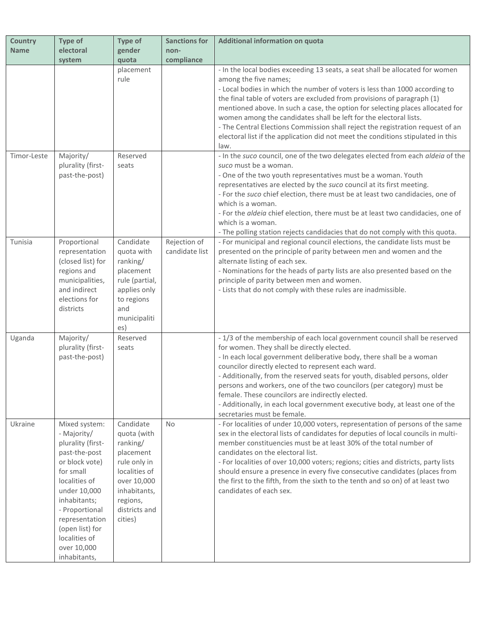| <b>Country</b> | <b>Type of</b>                                                                                                                                                                                                                                            | <b>Type of</b>                                                                                                                                            | <b>Sanctions for</b>           | Additional information on quota                                                                                                                                                                                                                                                                                                                                                                                                                                                                                                                                                  |
|----------------|-----------------------------------------------------------------------------------------------------------------------------------------------------------------------------------------------------------------------------------------------------------|-----------------------------------------------------------------------------------------------------------------------------------------------------------|--------------------------------|----------------------------------------------------------------------------------------------------------------------------------------------------------------------------------------------------------------------------------------------------------------------------------------------------------------------------------------------------------------------------------------------------------------------------------------------------------------------------------------------------------------------------------------------------------------------------------|
| <b>Name</b>    | electoral                                                                                                                                                                                                                                                 | gender                                                                                                                                                    | non-                           |                                                                                                                                                                                                                                                                                                                                                                                                                                                                                                                                                                                  |
|                | system                                                                                                                                                                                                                                                    | quota<br>placement                                                                                                                                        | compliance                     | - In the local bodies exceeding 13 seats, a seat shall be allocated for women                                                                                                                                                                                                                                                                                                                                                                                                                                                                                                    |
|                |                                                                                                                                                                                                                                                           | rule                                                                                                                                                      |                                | among the five names;<br>- Local bodies in which the number of voters is less than 1000 according to<br>the final table of voters are excluded from provisions of paragraph (1)                                                                                                                                                                                                                                                                                                                                                                                                  |
|                |                                                                                                                                                                                                                                                           |                                                                                                                                                           |                                | mentioned above. In such a case, the option for selecting places allocated for<br>women among the candidates shall be left for the electoral lists.<br>- The Central Elections Commission shall reject the registration request of an<br>electoral list if the application did not meet the conditions stipulated in this<br>law.                                                                                                                                                                                                                                                |
| Timor-Leste    | Majority/<br>plurality (first-<br>past-the-post)                                                                                                                                                                                                          | Reserved<br>seats                                                                                                                                         |                                | - In the suco council, one of the two delegates elected from each aldeia of the<br>suco must be a woman.<br>- One of the two youth representatives must be a woman. Youth<br>representatives are elected by the suco council at its first meeting.<br>- For the suco chief election, there must be at least two candidacies, one of<br>which is a woman.<br>- For the aldeia chief election, there must be at least two candidacies, one of<br>which is a woman.<br>- The polling station rejects candidacies that do not comply with this quota.                                |
| Tunisia        | Proportional<br>representation<br>(closed list) for<br>regions and<br>municipalities,<br>and indirect<br>elections for<br>districts                                                                                                                       | Candidate<br>quota with<br>ranking/<br>placement<br>rule (partial,<br>applies only<br>to regions<br>and<br>municipaliti<br>es)                            | Rejection of<br>candidate list | - For municipal and regional council elections, the candidate lists must be<br>presented on the principle of parity between men and women and the<br>alternate listing of each sex.<br>- Nominations for the heads of party lists are also presented based on the<br>principle of parity between men and women.<br>- Lists that do not comply with these rules are inadmissible.                                                                                                                                                                                                 |
| Uganda         | Majority/<br>plurality (first-<br>past-the-post)                                                                                                                                                                                                          | Reserved<br>seats                                                                                                                                         |                                | - 1/3 of the membership of each local government council shall be reserved<br>for women. They shall be directly elected.<br>- In each local government deliberative body, there shall be a woman<br>councilor directly elected to represent each ward.<br>- Additionally, from the reserved seats for youth, disabled persons, older<br>persons and workers, one of the two councilors (per category) must be<br>female. These councilors are indirectly elected.<br>- Additionally, in each local government executive body, at least one of the<br>secretaries must be female. |
| Ukraine        | Mixed system:<br>- Majority/<br>plurality (first-<br>past-the-post<br>or block vote)<br>for small<br>localities of<br>under 10,000<br>inhabitants;<br>- Proportional<br>representation<br>(open list) for<br>localities of<br>over 10,000<br>inhabitants, | Candidate<br>quota (with<br>ranking/<br>placement<br>rule only in<br>localities of<br>over 10,000<br>inhabitants,<br>regions,<br>districts and<br>cities) | <b>No</b>                      | - For localities of under 10,000 voters, representation of persons of the same<br>sex in the electoral lists of candidates for deputies of local councils in multi-<br>member constituencies must be at least 30% of the total number of<br>candidates on the electoral list.<br>- For localities of over 10,000 voters; regions; cities and districts, party lists<br>should ensure a presence in every five consecutive candidates (places from<br>the first to the fifth, from the sixth to the tenth and so on) of at least two<br>candidates of each sex.                   |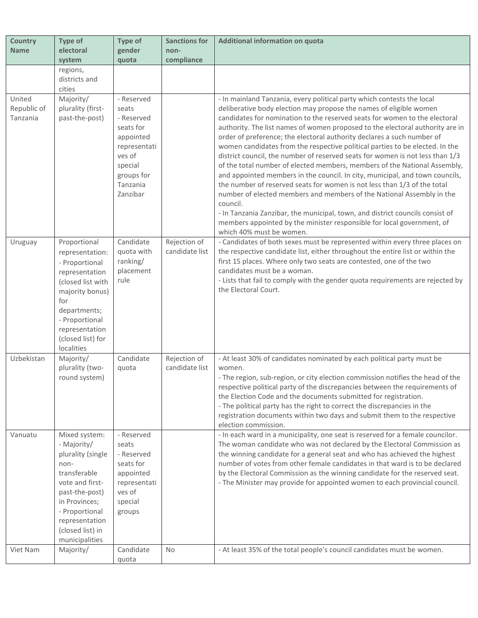| <b>Country</b>                    | Type of                                                                                                                                                                                                                | <b>Type of</b>                                                                                                                         | <b>Sanctions for</b>           | <b>Additional information on quota</b>                                                                                                                                                                                                                                                                                                                                                                                                                                                                                                                                                                                                                                                                                                                                                                                                                                                                                                                                                                                                                                      |
|-----------------------------------|------------------------------------------------------------------------------------------------------------------------------------------------------------------------------------------------------------------------|----------------------------------------------------------------------------------------------------------------------------------------|--------------------------------|-----------------------------------------------------------------------------------------------------------------------------------------------------------------------------------------------------------------------------------------------------------------------------------------------------------------------------------------------------------------------------------------------------------------------------------------------------------------------------------------------------------------------------------------------------------------------------------------------------------------------------------------------------------------------------------------------------------------------------------------------------------------------------------------------------------------------------------------------------------------------------------------------------------------------------------------------------------------------------------------------------------------------------------------------------------------------------|
| <b>Name</b>                       | electoral                                                                                                                                                                                                              | gender                                                                                                                                 | non-                           |                                                                                                                                                                                                                                                                                                                                                                                                                                                                                                                                                                                                                                                                                                                                                                                                                                                                                                                                                                                                                                                                             |
|                                   | system                                                                                                                                                                                                                 | quota                                                                                                                                  | compliance                     |                                                                                                                                                                                                                                                                                                                                                                                                                                                                                                                                                                                                                                                                                                                                                                                                                                                                                                                                                                                                                                                                             |
|                                   | regions,<br>districts and<br>cities                                                                                                                                                                                    |                                                                                                                                        |                                |                                                                                                                                                                                                                                                                                                                                                                                                                                                                                                                                                                                                                                                                                                                                                                                                                                                                                                                                                                                                                                                                             |
| United<br>Republic of<br>Tanzania | Majority/<br>plurality (first-<br>past-the-post)                                                                                                                                                                       | - Reserved<br>seats<br>- Reserved<br>seats for<br>appointed<br>representati<br>ves of<br>special<br>groups for<br>Tanzania<br>Zanzibar |                                | - In mainland Tanzania, every political party which contests the local<br>deliberative body election may propose the names of eligible women<br>candidates for nomination to the reserved seats for women to the electoral<br>authority. The list names of women proposed to the electoral authority are in<br>order of preference; the electoral authority declares a such number of<br>women candidates from the respective political parties to be elected. In the<br>district council, the number of reserved seats for women is not less than 1/3<br>of the total number of elected members, members of the National Assembly,<br>and appointed members in the council. In city, municipal, and town councils,<br>the number of reserved seats for women is not less than 1/3 of the total<br>number of elected members and members of the National Assembly in the<br>council.<br>- In Tanzania Zanzibar, the municipal, town, and district councils consist of<br>members appointed by the minister responsible for local government, of<br>which 40% must be women. |
| Uruguay                           | Proportional<br>representation:<br>- Proportional<br>representation<br>(closed list with<br>majority bonus)<br>for<br>departments;<br>- Proportional<br>representation<br>(closed list) for<br>localities              | Candidate<br>quota with<br>ranking/<br>placement<br>rule                                                                               | Rejection of<br>candidate list | - Candidates of both sexes must be represented within every three places on<br>the respective candidate list, either throughout the entire list or within the<br>first 15 places. Where only two seats are contested, one of the two<br>candidates must be a woman.<br>- Lists that fail to comply with the gender quota requirements are rejected by<br>the Electoral Court.                                                                                                                                                                                                                                                                                                                                                                                                                                                                                                                                                                                                                                                                                               |
| Uzbekistan                        | Majority/<br>plurality (two-<br>round system)                                                                                                                                                                          | Candidate<br>quota                                                                                                                     | Rejection of<br>candidate list | - At least 30% of candidates nominated by each political party must be<br>women.<br>- The region, sub-region, or city election commission notifies the head of the<br>respective political party of the discrepancies between the requirements of<br>the Election Code and the documents submitted for registration.<br>- The political party has the right to correct the discrepancies in the<br>registration documents within two days and submit them to the respective<br>election commission.                                                                                                                                                                                                                                                                                                                                                                                                                                                                                                                                                                         |
| Vanuatu<br>Viet Nam               | Mixed system:<br>- Majority/<br>plurality (single<br>non-<br>transferable<br>vote and first-<br>past-the-post)<br>in Provinces;<br>- Proportional<br>representation<br>(closed list) in<br>municipalities<br>Majority/ | - Reserved<br>seats<br>- Reserved<br>seats for<br>appointed<br>representati<br>ves of<br>special<br>groups<br>Candidate                | No                             | - In each ward in a municipality, one seat is reserved for a female councilor.<br>The woman candidate who was not declared by the Electoral Commission as<br>the winning candidate for a general seat and who has achieved the highest<br>number of votes from other female candidates in that ward is to be declared<br>by the Electoral Commission as the winning candidate for the reserved seat.<br>- The Minister may provide for appointed women to each provincial council.<br>- At least 35% of the total people's council candidates must be women.                                                                                                                                                                                                                                                                                                                                                                                                                                                                                                                |
|                                   |                                                                                                                                                                                                                        | quota                                                                                                                                  |                                |                                                                                                                                                                                                                                                                                                                                                                                                                                                                                                                                                                                                                                                                                                                                                                                                                                                                                                                                                                                                                                                                             |